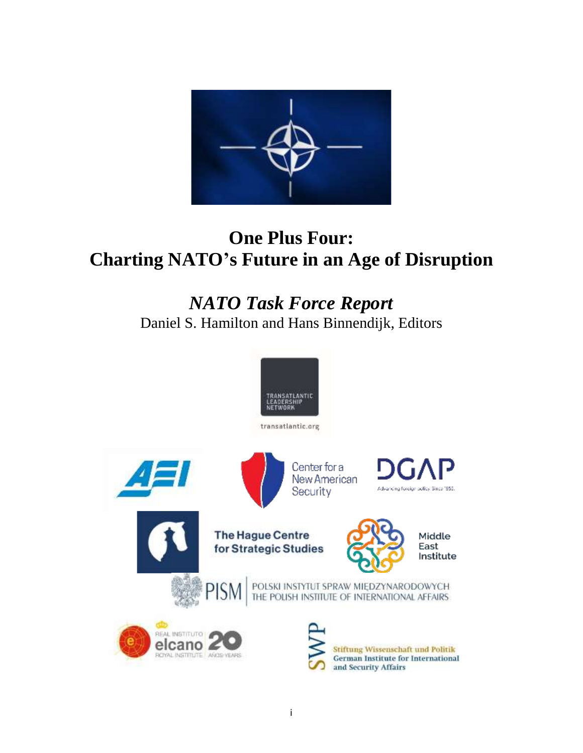

# **One Plus Four: Charting NATO's Future in an Age of Disruption**

# *NATO Task Force Report* Daniel S. Hamilton and Hans Binnendijk, Editors

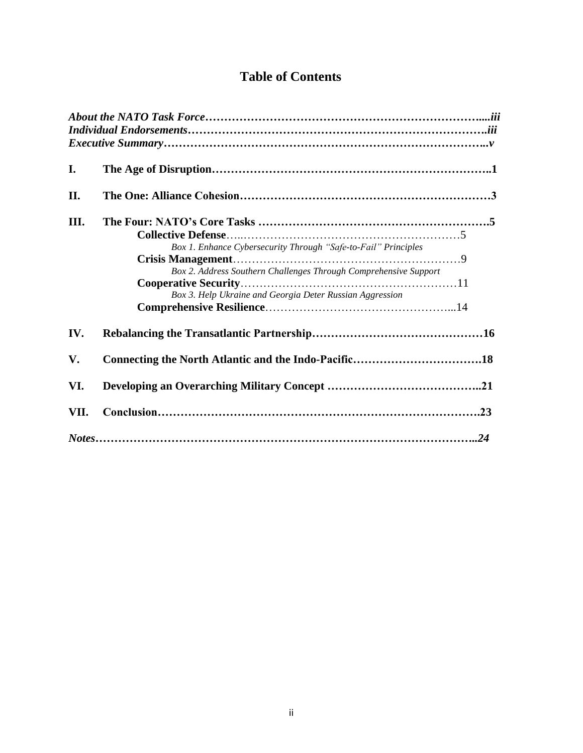# **Table of Contents**

| I.   |                                                                  |  |
|------|------------------------------------------------------------------|--|
|      |                                                                  |  |
| II.  |                                                                  |  |
|      |                                                                  |  |
| III. |                                                                  |  |
|      |                                                                  |  |
|      | Box 1. Enhance Cybersecurity Through "Safe-to-Fail" Principles   |  |
|      |                                                                  |  |
|      | Box 2. Address Southern Challenges Through Comprehensive Support |  |
|      |                                                                  |  |
|      | Box 3. Help Ukraine and Georgia Deter Russian Aggression         |  |
|      |                                                                  |  |
|      |                                                                  |  |
| IV.  |                                                                  |  |
|      |                                                                  |  |
| V.   |                                                                  |  |
| VI.  |                                                                  |  |
|      |                                                                  |  |
| VII. |                                                                  |  |
|      |                                                                  |  |
|      |                                                                  |  |
|      |                                                                  |  |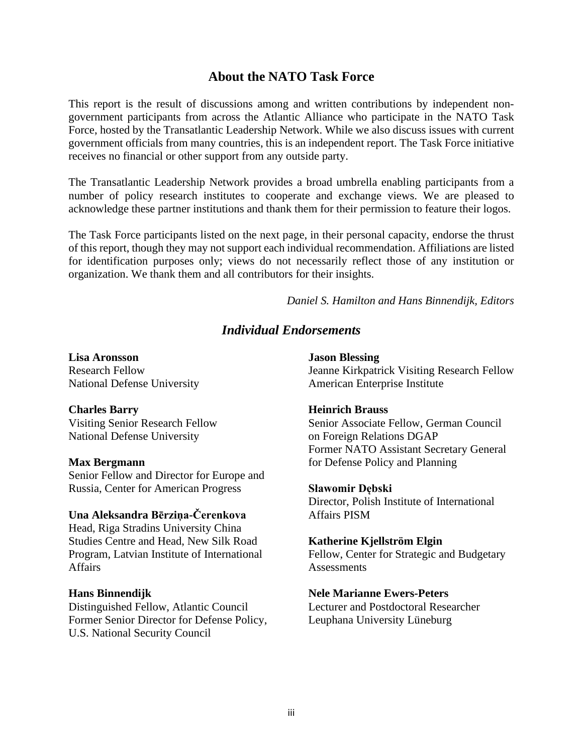# **About the NATO Task Force**

This report is the result of discussions among and written contributions by independent nongovernment participants from across the Atlantic Alliance who participate in the NATO Task Force, hosted by the Transatlantic Leadership Network. While we also discuss issues with current government officials from many countries, this is an independent report. The Task Force initiative receives no financial or other support from any outside party.

The Transatlantic Leadership Network provides a broad umbrella enabling participants from a number of policy research institutes to cooperate and exchange views. We are pleased to acknowledge these partner institutions and thank them for their permission to feature their logos.

The Task Force participants listed on the next page, in their personal capacity, endorse the thrust of this report, though they may not support each individual recommendation. Affiliations are listed for identification purposes only; views do not necessarily reflect those of any institution or organization. We thank them and all contributors for their insights.

*Daniel S. Hamilton and Hans Binnendijk, Editors*

# *Individual Endorsements*

**Lisa Aronsson** Research Fellow National Defense University

# **Charles Barry**

Visiting Senior Research Fellow National Defense University

#### **Max Bergmann**

Senior Fellow and Director for Europe and Russia, Center for American Progress

# **Una Aleksandra Bērziņa-Čerenkova**

Head, Riga Stradins University China Studies Centre and Head, New Silk Road Program, Latvian Institute of International Affairs

# **Hans Binnendijk**

Distinguished Fellow, Atlantic Council Former Senior Director for Defense Policy, U.S. National Security Council

#### **Jason Blessing**

Jeanne Kirkpatrick Visiting Research Fellow American Enterprise Institute

#### **Heinrich Brauss**

Senior Associate Fellow, German Council on Foreign Relations DGAP Former NATO Assistant Secretary General for Defense Policy and Planning

#### **Sławomir Dębski**

Director, Polish Institute of International Affairs PISM

# **Katherine Kjellström Elgin**

Fellow, Center for Strategic and Budgetary **Assessments** 

#### **Nele Marianne Ewers-Peters**

Lecturer and Postdoctoral Researcher Leuphana University Lüneburg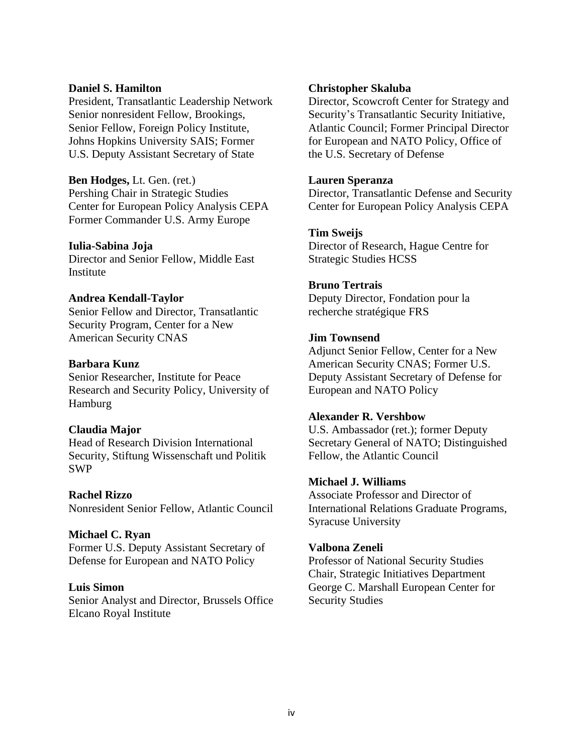## **Daniel S. Hamilton**

President, Transatlantic Leadership Network Senior nonresident Fellow, Brookings, Senior Fellow, Foreign Policy Institute, Johns Hopkins University SAIS; Former U.S. Deputy Assistant Secretary of State

**Ben Hodges,** Lt. Gen. (ret.) Pershing Chair in Strategic Studies Center for European Policy Analysis CEPA Former Commander U.S. Army Europe

#### **Iulia-Sabina Joja**

Director and Senior Fellow, Middle East Institute

# **Andrea Kendall-Taylor**

Senior Fellow and Director, Transatlantic Security Program, Center for a New American Security CNAS

# **Barbara Kunz**

Senior Researcher, Institute for Peace Research and Security Policy, University of Hamburg

# **Claudia Major**

Head of Research Division International Security, Stiftung Wissenschaft und Politik SWP

#### **Rachel Rizzo**

Nonresident Senior Fellow, Atlantic Council

# **Michael C. Ryan**

Former U.S. Deputy Assistant Secretary of Defense for European and NATO Policy

# **Luis Simon**

Senior Analyst and Director, Brussels Office Elcano Royal Institute

## **Christopher Skaluba**

Director, Scowcroft Center for Strategy and Security's Transatlantic Security Initiative, Atlantic Council; Former Principal Director for European and NATO Policy, Office of the U.S. Secretary of Defense

## **Lauren Speranza**

Director, Transatlantic Defense and Security Center for European Policy Analysis CEPA

# **Tim Sweijs**

Director of Research, Hague Centre for Strategic Studies HCSS

# **Bruno Tertrais**

Deputy Director, Fondation pour la recherche stratégique FRS

# **Jim Townsend**

Adjunct Senior Fellow, Center for a New American Security CNAS; Former U.S. Deputy Assistant Secretary of Defense for European and NATO Policy

# **Alexander R. Vershbow**

U.S. Ambassador (ret.); former Deputy Secretary General of NATO; Distinguished Fellow, the Atlantic Council

## **Michael J. Williams**

Associate Professor and Director of International Relations Graduate Programs, Syracuse University

#### **Valbona Zeneli**

Professor of National Security Studies Chair, Strategic Initiatives Department George C. Marshall European Center for Security Studies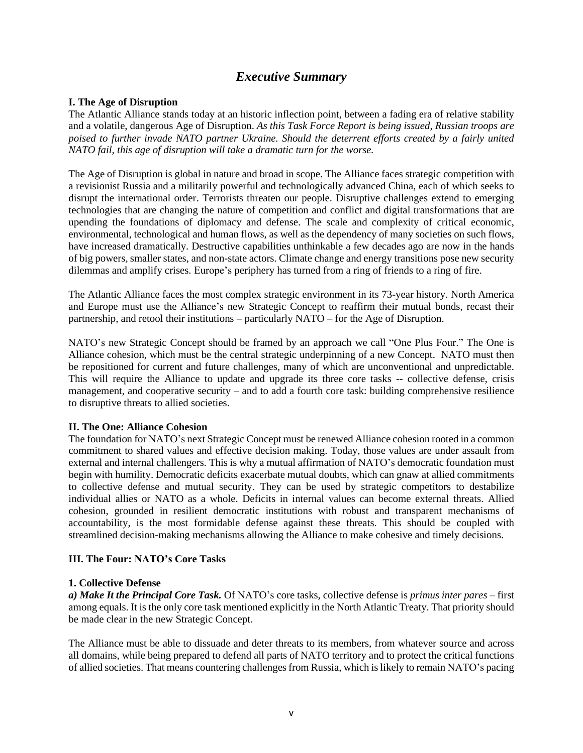# *Executive Summary*

#### **I. The Age of Disruption**

The Atlantic Alliance stands today at an historic inflection point, between a fading era of relative stability and a volatile, dangerous Age of Disruption. *As this Task Force Report is being issued, Russian troops are poised to further invade NATO partner Ukraine. Should the deterrent efforts created by a fairly united NATO fail, this age of disruption will take a dramatic turn for the worse.* 

The Age of Disruption is global in nature and broad in scope. The Alliance faces strategic competition with a revisionist Russia and a militarily powerful and technologically advanced China, each of which seeks to disrupt the international order. Terrorists threaten our people. Disruptive challenges extend to emerging technologies that are changing the nature of competition and conflict and digital transformations that are upending the foundations of diplomacy and defense. The scale and complexity of critical economic, environmental, technological and human flows, as well as the dependency of many societies on such flows, have increased dramatically. Destructive capabilities unthinkable a few decades ago are now in the hands of big powers, smaller states, and non-state actors. Climate change and energy transitions pose new security dilemmas and amplify crises. Europe's periphery has turned from a ring of friends to a ring of fire.

The Atlantic Alliance faces the most complex strategic environment in its 73-year history. North America and Europe must use the Alliance's new Strategic Concept to reaffirm their mutual bonds, recast their partnership, and retool their institutions – particularly NATO – for the Age of Disruption.

NATO's new Strategic Concept should be framed by an approach we call "One Plus Four." The One is Alliance cohesion, which must be the central strategic underpinning of a new Concept. NATO must then be repositioned for current and future challenges, many of which are unconventional and unpredictable. This will require the Alliance to update and upgrade its three core tasks -- collective defense, crisis management, and cooperative security – and to add a fourth core task: building comprehensive resilience to disruptive threats to allied societies.

#### **II. The One: Alliance Cohesion**

The foundation for NATO's next Strategic Concept must be renewed Alliance cohesion rooted in a common commitment to shared values and effective decision making. Today, those values are under assault from external and internal challengers. This is why a mutual affirmation of NATO's democratic foundation must begin with humility. Democratic deficits exacerbate mutual doubts, which can gnaw at allied commitments to collective defense and mutual security. They can be used by strategic competitors to destabilize individual allies or NATO as a whole. Deficits in internal values can become external threats. Allied cohesion, grounded in resilient democratic institutions with robust and transparent mechanisms of accountability, is the most formidable defense against these threats. This should be coupled with streamlined decision-making mechanisms allowing the Alliance to make cohesive and timely decisions.

#### **III. The Four: NATO's Core Tasks**

#### **1. Collective Defense**

*a) Make It the Principal Core Task.* Of NATO's core tasks, collective defense is *primus inter pares* – first among equals. It is the only core task mentioned explicitly in the North Atlantic Treaty. That priority should be made clear in the new Strategic Concept.

The Alliance must be able to dissuade and deter threats to its members, from whatever source and across all domains, while being prepared to defend all parts of NATO territory and to protect the critical functions of allied societies. That means countering challenges from Russia, which islikely to remain NATO's pacing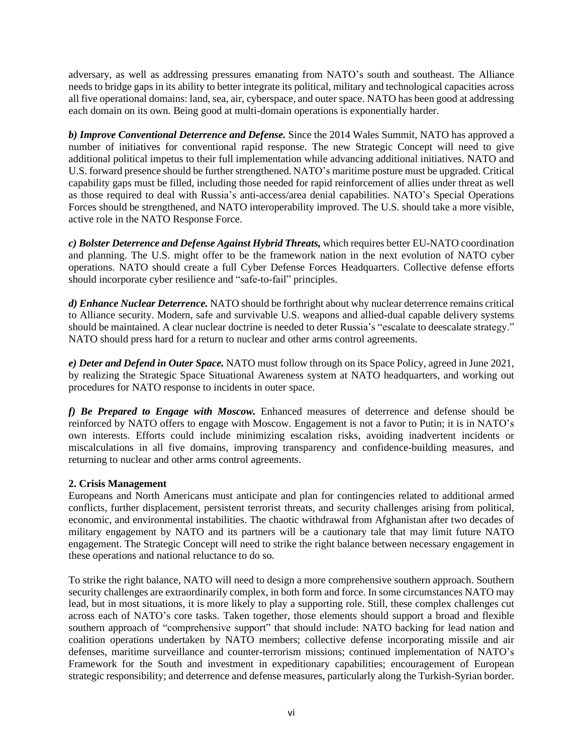adversary, as well as addressing pressures emanating from NATO's south and southeast. The Alliance needs to bridge gaps in its ability to better integrate its political, military and technological capacities across all five operational domains: land, sea, air, cyberspace, and outer space. NATO has been good at addressing each domain on its own. Being good at multi-domain operations is exponentially harder.

*b) Improve Conventional Deterrence and Defense.* Since the 2014 Wales Summit, NATO has approved a number of initiatives for conventional rapid response. The new Strategic Concept will need to give additional political impetus to their full implementation while advancing additional initiatives. NATO and U.S. forward presence should be further strengthened. NATO's maritime posture must be upgraded. Critical capability gaps must be filled, including those needed for rapid reinforcement of allies under threat as well as those required to deal with Russia's anti-access/area denial capabilities. NATO's Special Operations Forces should be strengthened, and NATO interoperability improved. The U.S. should take a more visible, active role in the NATO Response Force.

*c) Bolster Deterrence and Defense Against Hybrid Threats,* which requires better EU-NATO coordination and planning. The U.S. might offer to be the framework nation in the next evolution of NATO cyber operations. NATO should create a full Cyber Defense Forces Headquarters. Collective defense efforts should incorporate cyber resilience and "safe-to-fail" principles.

*d) Enhance Nuclear Deterrence.* NATO should be forthright about why nuclear deterrence remains critical to Alliance security. Modern, safe and survivable U.S. weapons and allied-dual capable delivery systems should be maintained. A clear nuclear doctrine is needed to deter Russia's "escalate to deescalate strategy." NATO should press hard for a return to nuclear and other arms control agreements.

*e) Deter and Defend in Outer Space.* NATO must follow through on its Space Policy, agreed in June 2021, by realizing the Strategic Space Situational Awareness system at NATO headquarters, and working out procedures for NATO response to incidents in outer space.

*f) Be Prepared to Engage with Moscow.* Enhanced measures of deterrence and defense should be reinforced by NATO offers to engage with Moscow. Engagement is not a favor to Putin; it is in NATO's own interests. Efforts could include minimizing escalation risks, avoiding inadvertent incidents or miscalculations in all five domains, improving transparency and confidence-building measures, and returning to nuclear and other arms control agreements.

# **2. Crisis Management**

Europeans and North Americans must anticipate and plan for contingencies related to additional armed conflicts, further displacement, persistent terrorist threats, and security challenges arising from political, economic, and environmental instabilities. The chaotic withdrawal from Afghanistan after two decades of military engagement by NATO and its partners will be a cautionary tale that may limit future NATO engagement. The Strategic Concept will need to strike the right balance between necessary engagement in these operations and national reluctance to do so.

To strike the right balance, NATO will need to design a more comprehensive southern approach. Southern security challenges are extraordinarily complex, in both form and force. In some circumstances NATO may lead, but in most situations, it is more likely to play a supporting role. Still, these complex challenges cut across each of NATO's core tasks. Taken together, those elements should support a broad and flexible southern approach of "comprehensive support" that should include: NATO backing for lead nation and coalition operations undertaken by NATO members; collective defense incorporating missile and air defenses, maritime surveillance and counter-terrorism missions; continued implementation of NATO's Framework for the South and investment in expeditionary capabilities; encouragement of European strategic responsibility; and deterrence and defense measures, particularly along the Turkish-Syrian border.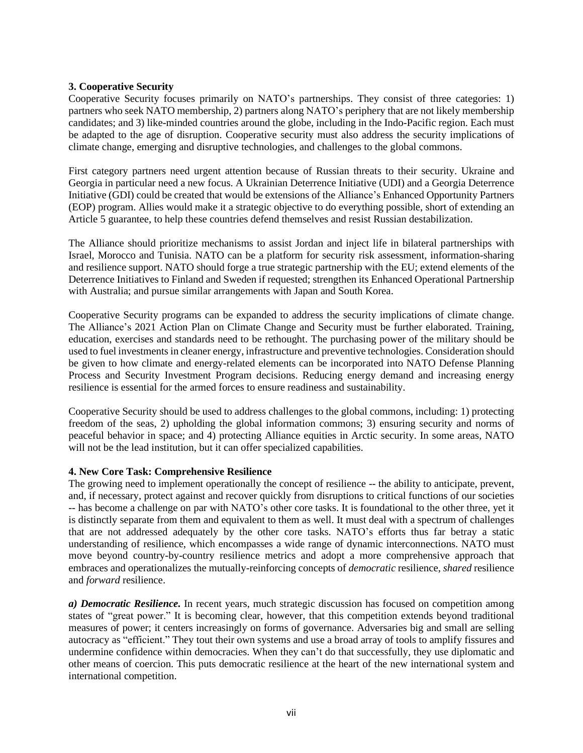## **3. Cooperative Security**

Cooperative Security focuses primarily on NATO's partnerships. They consist of three categories: 1) partners who seek NATO membership, 2) partners along NATO's periphery that are not likely membership candidates; and 3) like-minded countries around the globe, including in the Indo-Pacific region. Each must be adapted to the age of disruption. Cooperative security must also address the security implications of climate change, emerging and disruptive technologies, and challenges to the global commons.

First category partners need urgent attention because of Russian threats to their security. Ukraine and Georgia in particular need a new focus. A Ukrainian Deterrence Initiative (UDI) and a Georgia Deterrence Initiative (GDI) could be created that would be extensions of the Alliance's Enhanced Opportunity Partners (EOP) program. Allies would make it a strategic objective to do everything possible, short of extending an Article 5 guarantee, to help these countries defend themselves and resist Russian destabilization.

The Alliance should prioritize mechanisms to assist Jordan and inject life in bilateral partnerships with Israel, Morocco and Tunisia. NATO can be a platform for security risk assessment, information-sharing and resilience support. NATO should forge a true strategic partnership with the EU; extend elements of the Deterrence Initiatives to Finland and Sweden if requested; strengthen its Enhanced Operational Partnership with Australia; and pursue similar arrangements with Japan and South Korea.

Cooperative Security programs can be expanded to address the security implications of climate change. The Alliance's 2021 Action Plan on Climate Change and Security must be further elaborated. Training, education, exercises and standards need to be rethought. The purchasing power of the military should be used to fuel investments in cleaner energy, infrastructure and preventive technologies. Consideration should be given to how climate and energy-related elements can be incorporated into NATO Defense Planning Process and Security Investment Program decisions. Reducing energy demand and increasing energy resilience is essential for the armed forces to ensure readiness and sustainability.

Cooperative Security should be used to address challenges to the global commons, including: 1) protecting freedom of the seas, 2) upholding the global information commons; 3) ensuring security and norms of peaceful behavior in space; and 4) protecting Alliance equities in Arctic security. In some areas, NATO will not be the lead institution, but it can offer specialized capabilities.

#### **4. New Core Task: Comprehensive Resilience**

The growing need to implement operationally the concept of resilience -- the ability to anticipate, prevent, and, if necessary, protect against and recover quickly from disruptions to critical functions of our societies -- has become a challenge on par with NATO's other core tasks. It is foundational to the other three, yet it is distinctly separate from them and equivalent to them as well. It must deal with a spectrum of challenges that are not addressed adequately by the other core tasks. NATO's efforts thus far betray a static understanding of resilience, which encompasses a wide range of dynamic interconnections. NATO must move beyond country-by-country resilience metrics and adopt a more comprehensive approach that embraces and operationalizes the mutually-reinforcing concepts of *democratic* resilience, *shared* resilience and *forward* resilience.

*a) Democratic Resilience.* In recent years, much strategic discussion has focused on competition among states of "great power." It is becoming clear, however, that this competition extends beyond traditional measures of power; it centers increasingly on forms of governance. Adversaries big and small are selling autocracy as "efficient." They tout their own systems and use a broad array of tools to amplify fissures and undermine confidence within democracies. When they can't do that successfully, they use diplomatic and other means of coercion. This puts democratic resilience at the heart of the new international system and international competition.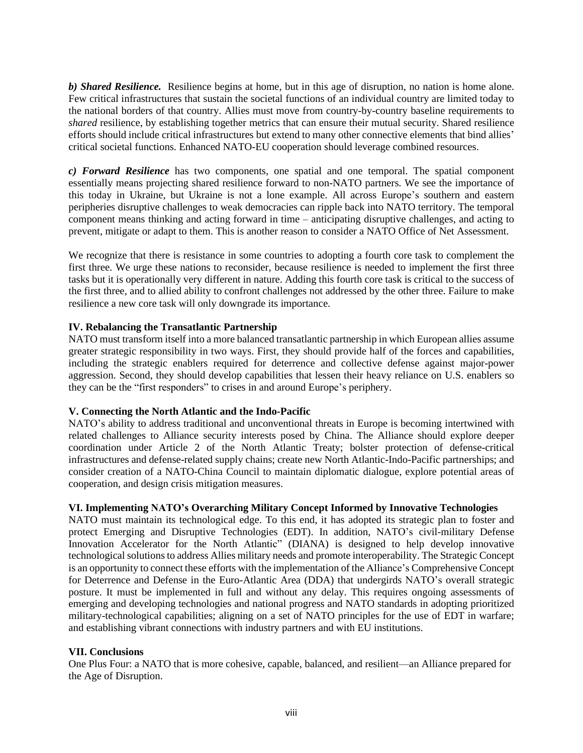*b) Shared Resilience.* Resilience begins at home, but in this age of disruption, no nation is home alone. Few critical infrastructures that sustain the societal functions of an individual country are limited today to the national borders of that country. Allies must move from country-by-country baseline requirements to *shared* resilience, by establishing together metrics that can ensure their mutual security. Shared resilience efforts should include critical infrastructures but extend to many other connective elements that bind allies' critical societal functions. Enhanced NATO-EU cooperation should leverage combined resources.

*c) Forward Resilience* has two components, one spatial and one temporal. The spatial component essentially means projecting shared resilience forward to non-NATO partners. We see the importance of this today in Ukraine, but Ukraine is not a lone example. All across Europe's southern and eastern peripheries disruptive challenges to weak democracies can ripple back into NATO territory. The temporal component means thinking and acting forward in time – anticipating disruptive challenges, and acting to prevent, mitigate or adapt to them. This is another reason to consider a NATO Office of Net Assessment.

We recognize that there is resistance in some countries to adopting a fourth core task to complement the first three. We urge these nations to reconsider, because resilience is needed to implement the first three tasks but it is operationally very different in nature. Adding this fourth core task is critical to the success of the first three, and to allied ability to confront challenges not addressed by the other three. Failure to make resilience a new core task will only downgrade its importance.

# **IV. Rebalancing the Transatlantic Partnership**

NATO must transform itself into a more balanced transatlantic partnership in which European allies assume greater strategic responsibility in two ways. First, they should provide half of the forces and capabilities, including the strategic enablers required for deterrence and collective defense against major-power aggression. Second, they should develop capabilities that lessen their heavy reliance on U.S. enablers so they can be the "first responders" to crises in and around Europe's periphery.

#### **V. Connecting the North Atlantic and the Indo-Pacific**

NATO's ability to address traditional and unconventional threats in Europe is becoming intertwined with related challenges to Alliance security interests posed by China. The Alliance should explore deeper coordination under Article 2 of the North Atlantic Treaty; bolster protection of defense-critical infrastructures and defense-related supply chains; create new North Atlantic-Indo-Pacific partnerships; and consider creation of a NATO-China Council to maintain diplomatic dialogue, explore potential areas of cooperation, and design crisis mitigation measures.

#### **VI. Implementing NATO's Overarching Military Concept Informed by Innovative Technologies**

NATO must maintain its technological edge. To this end, it has adopted its strategic plan to foster and protect Emerging and Disruptive Technologies (EDT). In addition, NATO's civil-military Defense Innovation Accelerator for the North Atlantic" (DIANA) is designed to help develop innovative technological solutions to address Allies military needs and promote interoperability. The Strategic Concept is an opportunity to connect these efforts with the implementation of the Alliance's Comprehensive Concept for Deterrence and Defense in the Euro-Atlantic Area (DDA) that undergirds NATO's overall strategic posture. It must be implemented in full and without any delay. This requires ongoing assessments of emerging and developing technologies and national progress and NATO standards in adopting prioritized military-technological capabilities; aligning on a set of NATO principles for the use of EDT in warfare; and establishing vibrant connections with industry partners and with EU institutions.

#### **VII. Conclusions**

One Plus Four: a NATO that is more cohesive, capable, balanced, and resilient—an Alliance prepared for the Age of Disruption.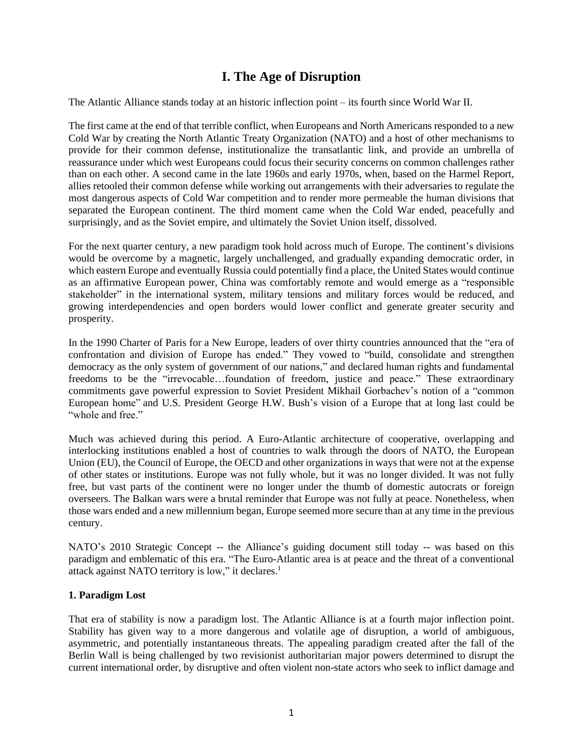# **I. The Age of Disruption**

The Atlantic Alliance stands today at an historic inflection point – its fourth since World War II.

The first came at the end of that terrible conflict, when Europeans and North Americans responded to a new Cold War by creating the North Atlantic Treaty Organization (NATO) and a host of other mechanisms to provide for their common defense, institutionalize the transatlantic link, and provide an umbrella of reassurance under which west Europeans could focus their security concerns on common challenges rather than on each other. A second came in the late 1960s and early 1970s, when, based on the Harmel Report, allies retooled their common defense while working out arrangements with their adversaries to regulate the most dangerous aspects of Cold War competition and to render more permeable the human divisions that separated the European continent. The third moment came when the Cold War ended, peacefully and surprisingly, and as the Soviet empire, and ultimately the Soviet Union itself, dissolved.

For the next quarter century, a new paradigm took hold across much of Europe. The continent's divisions would be overcome by a magnetic, largely unchallenged, and gradually expanding democratic order, in which eastern Europe and eventually Russia could potentially find a place, the United States would continue as an affirmative European power, China was comfortably remote and would emerge as a "responsible stakeholder" in the international system, military tensions and military forces would be reduced, and growing interdependencies and open borders would lower conflict and generate greater security and prosperity.

In the 1990 Charter of Paris for a New Europe, leaders of over thirty countries announced that the "era of confrontation and division of Europe has ended." They vowed to "build, consolidate and strengthen democracy as the only system of government of our nations," and declared human rights and fundamental freedoms to be the "irrevocable…foundation of freedom, justice and peace." These extraordinary commitments gave powerful expression to Soviet President Mikhail Gorbachev's notion of a "common European home" and U.S. President George H.W. Bush's vision of a Europe that at long last could be "whole and free."

Much was achieved during this period. A Euro-Atlantic architecture of cooperative, overlapping and interlocking institutions enabled a host of countries to walk through the doors of NATO, the European Union (EU), the Council of Europe, the OECD and other organizations in ways that were not at the expense of other states or institutions. Europe was not fully whole, but it was no longer divided. It was not fully free, but vast parts of the continent were no longer under the thumb of domestic autocrats or foreign overseers. The Balkan wars were a brutal reminder that Europe was not fully at peace. Nonetheless, when those wars ended and a new millennium began, Europe seemed more secure than at any time in the previous century.

NATO's 2010 Strategic Concept -- the Alliance's guiding document still today -- was based on this paradigm and emblematic of this era. "The Euro-Atlantic area is at peace and the threat of a conventional attack against NATO territory is low," it declares.<sup>1</sup>

#### **1. Paradigm Lost**

That era of stability is now a paradigm lost. The Atlantic Alliance is at a fourth major inflection point. Stability has given way to a more dangerous and volatile age of disruption, a world of ambiguous, asymmetric, and potentially instantaneous threats. The appealing paradigm created after the fall of the Berlin Wall is being challenged by two revisionist authoritarian major powers determined to disrupt the current international order, by disruptive and often violent non-state actors who seek to inflict damage and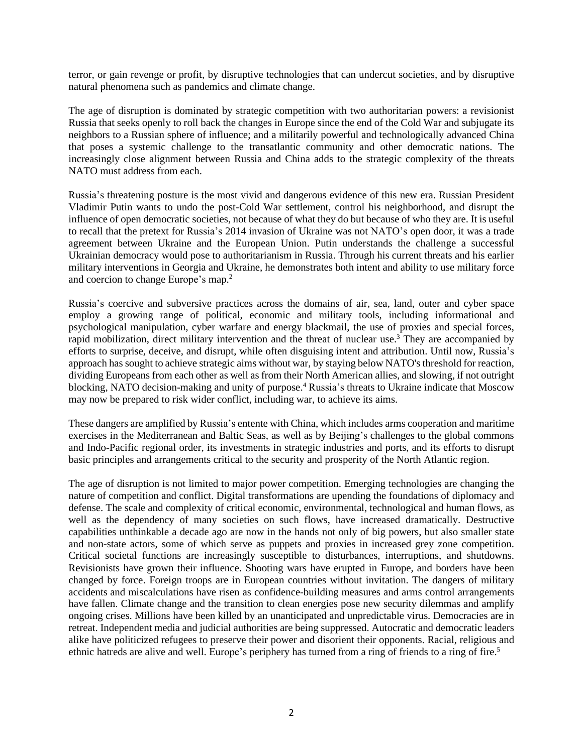terror, or gain revenge or profit, by disruptive technologies that can undercut societies, and by disruptive natural phenomena such as pandemics and climate change.

The age of disruption is dominated by strategic competition with two authoritarian powers: a revisionist Russia that seeks openly to roll back the changes in Europe since the end of the Cold War and subjugate its neighbors to a Russian sphere of influence; and a militarily powerful and technologically advanced China that poses a systemic challenge to the transatlantic community and other democratic nations. The increasingly close alignment between Russia and China adds to the strategic complexity of the threats NATO must address from each.

Russia's threatening posture is the most vivid and dangerous evidence of this new era. Russian President Vladimir Putin wants to undo the post-Cold War settlement, control his neighborhood, and disrupt the influence of open democratic societies, not because of what they do but because of who they are. It is useful to recall that the pretext for Russia's 2014 invasion of Ukraine was not NATO's open door, it was a trade agreement between Ukraine and the European Union. Putin understands the challenge a successful Ukrainian democracy would pose to authoritarianism in Russia. Through his current threats and his earlier military interventions in Georgia and Ukraine, he demonstrates both intent and ability to use military force and coercion to change Europe's map.<sup>2</sup>

Russia's coercive and subversive practices across the domains of air, sea, land, outer and cyber space employ a growing range of political, economic and military tools, including informational and psychological manipulation, cyber warfare and energy blackmail, the use of proxies and special forces, rapid mobilization, direct military intervention and the threat of nuclear use.<sup>3</sup> They are accompanied by efforts to surprise, deceive, and disrupt, while often disguising intent and attribution. Until now, Russia's approach has sought to achieve strategic aims without war, by staying below NATO's threshold for reaction, dividing Europeans from each other as well as from their North American allies, and slowing, if not outright blocking, NATO decision-making and unity of purpose.<sup>4</sup> Russia's threats to Ukraine indicate that Moscow may now be prepared to risk wider conflict, including war, to achieve its aims.

These dangers are amplified by Russia's entente with China, which includes arms cooperation and maritime exercises in the Mediterranean and Baltic Seas, as well as by Beijing's challenges to the global commons and Indo-Pacific regional order, its investments in strategic industries and ports, and its efforts to disrupt basic principles and arrangements critical to the security and prosperity of the North Atlantic region.

The age of disruption is not limited to major power competition. Emerging technologies are changing the nature of competition and conflict. Digital transformations are upending the foundations of diplomacy and defense. The scale and complexity of critical economic, environmental, technological and human flows, as well as the dependency of many societies on such flows, have increased dramatically. Destructive capabilities unthinkable a decade ago are now in the hands not only of big powers, but also smaller state and non-state actors, some of which serve as puppets and proxies in increased grey zone competition. Critical societal functions are increasingly susceptible to disturbances, interruptions, and shutdowns. Revisionists have grown their influence. Shooting wars have erupted in Europe, and borders have been changed by force. Foreign troops are in European countries without invitation. The dangers of military accidents and miscalculations have risen as confidence-building measures and arms control arrangements have fallen. Climate change and the transition to clean energies pose new security dilemmas and amplify ongoing crises. Millions have been killed by an unanticipated and unpredictable virus. Democracies are in retreat. Independent media and judicial authorities are being suppressed. Autocratic and democratic leaders alike have politicized refugees to preserve their power and disorient their opponents. Racial, religious and ethnic hatreds are alive and well. Europe's periphery has turned from a ring of friends to a ring of fire.<sup>5</sup>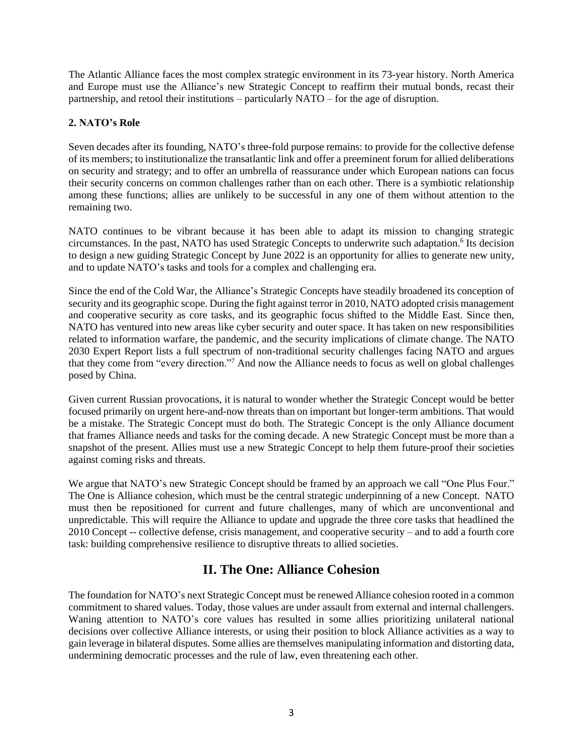The Atlantic Alliance faces the most complex strategic environment in its 73-year history. North America and Europe must use the Alliance's new Strategic Concept to reaffirm their mutual bonds, recast their partnership, and retool their institutions – particularly NATO – for the age of disruption.

# **2. NATO's Role**

Seven decades after its founding, NATO's three-fold purpose remains: to provide for the collective defense of its members; to institutionalize the transatlantic link and offer a preeminent forum for allied deliberations on security and strategy; and to offer an umbrella of reassurance under which European nations can focus their security concerns on common challenges rather than on each other. There is a symbiotic relationship among these functions; allies are unlikely to be successful in any one of them without attention to the remaining two.

NATO continues to be vibrant because it has been able to adapt its mission to changing strategic circumstances. In the past, NATO has used Strategic Concepts to underwrite such adaptation.<sup>6</sup> Its decision to design a new guiding Strategic Concept by June 2022 is an opportunity for allies to generate new unity, and to update NATO's tasks and tools for a complex and challenging era.

Since the end of the Cold War, the Alliance's Strategic Concepts have steadily broadened its conception of security and its geographic scope. During the fight against terror in 2010, NATO adopted crisis management and cooperative security as core tasks, and its geographic focus shifted to the Middle East. Since then, NATO has ventured into new areas like cyber security and outer space. It has taken on new responsibilities related to information warfare, the pandemic, and the security implications of climate change. The NATO 2030 Expert Report lists a full spectrum of non-traditional security challenges facing NATO and argues that they come from "every direction."<sup>7</sup> And now the Alliance needs to focus as well on global challenges posed by China.

Given current Russian provocations, it is natural to wonder whether the Strategic Concept would be better focused primarily on urgent here-and-now threats than on important but longer-term ambitions. That would be a mistake. The Strategic Concept must do both. The Strategic Concept is the only Alliance document that frames Alliance needs and tasks for the coming decade. A new Strategic Concept must be more than a snapshot of the present. Allies must use a new Strategic Concept to help them future-proof their societies against coming risks and threats.

We argue that NATO's new Strategic Concept should be framed by an approach we call "One Plus Four." The One is Alliance cohesion, which must be the central strategic underpinning of a new Concept. NATO must then be repositioned for current and future challenges, many of which are unconventional and unpredictable. This will require the Alliance to update and upgrade the three core tasks that headlined the 2010 Concept -- collective defense, crisis management, and cooperative security – and to add a fourth core task: building comprehensive resilience to disruptive threats to allied societies.

# **II. The One: Alliance Cohesion**

The foundation for NATO's next Strategic Concept must be renewed Alliance cohesion rooted in a common commitment to shared values. Today, those values are under assault from external and internal challengers. Waning attention to NATO's core values has resulted in some allies prioritizing unilateral national decisions over collective Alliance interests, or using their position to block Alliance activities as a way to gain leverage in bilateral disputes. Some allies are themselves manipulating information and distorting data, undermining democratic processes and the rule of law, even threatening each other.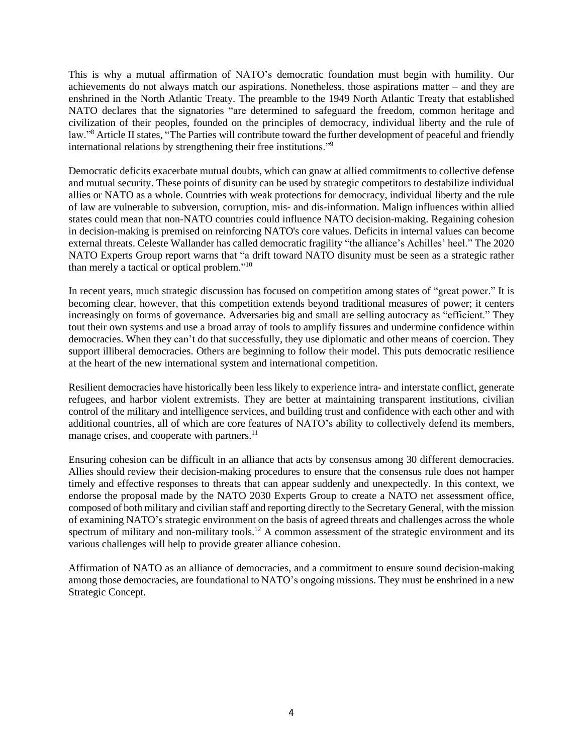This is why a mutual affirmation of NATO's democratic foundation must begin with humility. Our achievements do not always match our aspirations. Nonetheless, those aspirations matter – and they are enshrined in the North Atlantic Treaty. The preamble to the 1949 North Atlantic Treaty that established NATO declares that the signatories "are determined to safeguard the freedom, common heritage and civilization of their peoples, founded on the principles of democracy, individual liberty and the rule of law."<sup>8</sup> Article II states, "The Parties will contribute toward the further development of peaceful and friendly international relations by strengthening their free institutions."<sup>9</sup>

Democratic deficits exacerbate mutual doubts, which can gnaw at allied commitments to collective defense and mutual security. These points of disunity can be used by strategic competitors to destabilize individual allies or NATO as a whole. Countries with weak protections for democracy, individual liberty and the rule of law are vulnerable to subversion, corruption, mis- and dis-information. Malign influences within allied states could mean that non-NATO countries could influence NATO decision-making. Regaining cohesion in decision-making is premised on reinforcing NATO's core values. Deficits in internal values can become external threats. Celeste Wallander has called democratic fragility "the alliance's Achilles' heel." The 2020 NATO Experts Group report warns that "a drift toward NATO disunity must be seen as a strategic rather than merely a tactical or optical problem."<sup>10</sup>

In recent years, much strategic discussion has focused on competition among states of "great power." It is becoming clear, however, that this competition extends beyond traditional measures of power; it centers increasingly on forms of governance. Adversaries big and small are selling autocracy as "efficient." They tout their own systems and use a broad array of tools to amplify fissures and undermine confidence within democracies. When they can't do that successfully, they use diplomatic and other means of coercion. They support illiberal democracies. Others are beginning to follow their model. This puts democratic resilience at the heart of the new international system and international competition.

Resilient democracies have historically been less likely to experience intra- and interstate conflict, generate refugees, and harbor violent extremists. They are better at maintaining transparent institutions, civilian control of the military and intelligence services, and building trust and confidence with each other and with additional countries, all of which are core features of NATO's ability to collectively defend its members, manage crises, and cooperate with partners.<sup>11</sup>

Ensuring cohesion can be difficult in an alliance that acts by consensus among 30 different democracies. Allies should review their decision-making procedures to ensure that the consensus rule does not hamper timely and effective responses to threats that can appear suddenly and unexpectedly. In this context, we endorse the proposal made by the NATO 2030 Experts Group to create a NATO net assessment office, composed of both military and civilian staff and reporting directly to the Secretary General, with the mission of examining NATO's strategic environment on the basis of agreed threats and challenges across the whole spectrum of military and non-military tools.<sup>12</sup> A common assessment of the strategic environment and its various challenges will help to provide greater alliance cohesion.

Affirmation of NATO as an alliance of democracies, and a commitment to ensure sound decision-making among those democracies, are foundational to NATO's ongoing missions. They must be enshrined in a new Strategic Concept.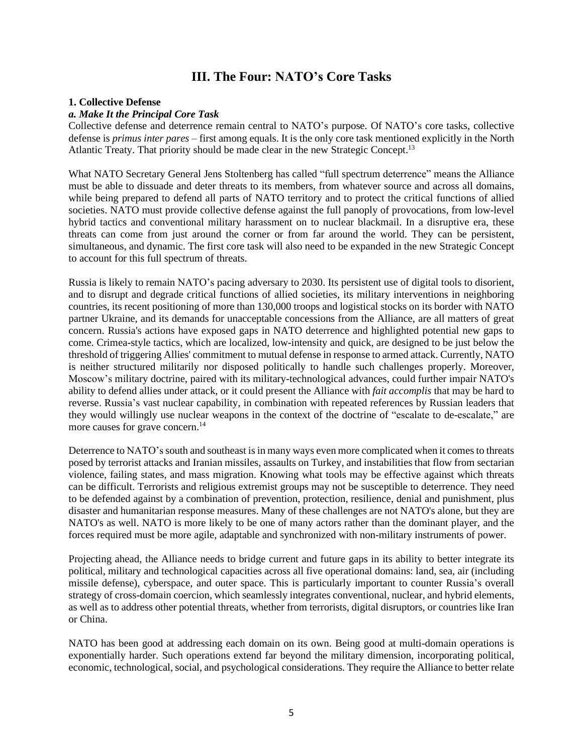# **III. The Four: NATO's Core Tasks**

#### **1. Collective Defense**

#### *a. Make It the Principal Core Task*

Collective defense and deterrence remain central to NATO's purpose. Of NATO's core tasks, collective defense is *primus inter pares* – first among equals. It is the only core task mentioned explicitly in the North Atlantic Treaty. That priority should be made clear in the new Strategic Concept.<sup>13</sup>

What NATO Secretary General Jens Stoltenberg has called "full spectrum deterrence" means the Alliance must be able to dissuade and deter threats to its members, from whatever source and across all domains, while being prepared to defend all parts of NATO territory and to protect the critical functions of allied societies. NATO must provide collective defense against the full panoply of provocations, from low-level hybrid tactics and conventional military harassment on to nuclear blackmail. In a disruptive era, these threats can come from just around the corner or from far around the world. They can be persistent, simultaneous, and dynamic. The first core task will also need to be expanded in the new Strategic Concept to account for this full spectrum of threats.

Russia is likely to remain NATO's pacing adversary to 2030. Its persistent use of digital tools to disorient, and to disrupt and degrade critical functions of allied societies, its military interventions in neighboring countries, its recent positioning of more than 130,000 troops and logistical stocks on its border with NATO partner Ukraine, and its demands for unacceptable concessions from the Alliance, are all matters of great concern. Russia's actions have exposed gaps in NATO deterrence and highlighted potential new gaps to come. Crimea-style tactics, which are localized, low-intensity and quick, are designed to be just below the threshold of triggering Allies' commitment to mutual defense in response to armed attack. Currently, NATO is neither structured militarily nor disposed politically to handle such challenges properly. Moreover, Moscow's military doctrine, paired with its military-technological advances, could further impair NATO's ability to defend allies under attack, or it could present the Alliance with *fait accomplis* that may be hard to reverse. Russia's vast nuclear capability, in combination with repeated references by Russian leaders that they would willingly use nuclear weapons in the context of the doctrine of "escalate to de-escalate," are more causes for grave concern. $14$ 

Deterrence to NATO's south and southeast is in many ways even more complicated when it comes to threats posed by terrorist attacks and Iranian missiles, assaults on Turkey, and instabilities that flow from sectarian violence, failing states, and mass migration. Knowing what tools may be effective against which threats can be difficult. Terrorists and religious extremist groups may not be susceptible to deterrence. They need to be defended against by a combination of prevention, protection, resilience, denial and punishment, plus disaster and humanitarian response measures. Many of these challenges are not NATO's alone, but they are NATO's as well. NATO is more likely to be one of many actors rather than the dominant player, and the forces required must be more agile, adaptable and synchronized with non-military instruments of power.

Projecting ahead, the Alliance needs to bridge current and future gaps in its ability to better integrate its political, military and technological capacities across all five operational domains: land, sea, air (including missile defense), cyberspace, and outer space. This is particularly important to counter Russia's overall strategy of cross-domain coercion, which seamlessly integrates conventional, nuclear, and hybrid elements, as well as to address other potential threats, whether from terrorists, digital disruptors, or countries like Iran or China.

NATO has been good at addressing each domain on its own. Being good at multi-domain operations is exponentially harder. Such operations extend far beyond the military dimension, incorporating political, economic, technological, social, and psychological considerations. They require the Alliance to better relate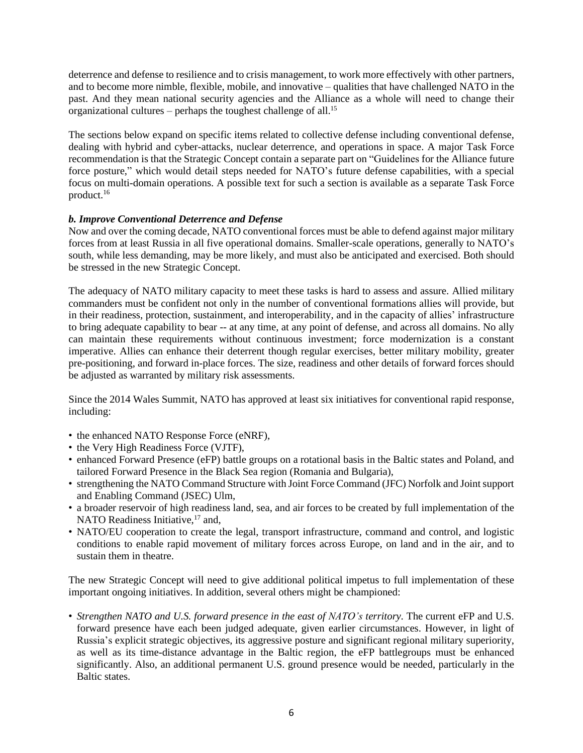deterrence and defense to resilience and to crisis management, to work more effectively with other partners, and to become more nimble, flexible, mobile, and innovative – qualities that have challenged NATO in the past. And they mean national security agencies and the Alliance as a whole will need to change their organizational cultures – perhaps the toughest challenge of all.<sup>15</sup>

The sections below expand on specific items related to collective defense including conventional defense, dealing with hybrid and cyber-attacks, nuclear deterrence, and operations in space. A major Task Force recommendation is that the Strategic Concept contain a separate part on "Guidelines for the Alliance future force posture," which would detail steps needed for NATO's future defense capabilities, with a special focus on multi-domain operations. A possible text for such a section is available as a separate Task Force product.<sup>16</sup>

# *b. Improve Conventional Deterrence and Defense*

Now and over the coming decade, NATO conventional forces must be able to defend against major military forces from at least Russia in all five operational domains. Smaller-scale operations, generally to NATO's south, while less demanding, may be more likely, and must also be anticipated and exercised. Both should be stressed in the new Strategic Concept.

The adequacy of NATO military capacity to meet these tasks is hard to assess and assure. Allied military commanders must be confident not only in the number of conventional formations allies will provide, but in their readiness, protection, sustainment, and interoperability, and in the capacity of allies' infrastructure to bring adequate capability to bear -- at any time, at any point of defense, and across all domains. No ally can maintain these requirements without continuous investment; force modernization is a constant imperative. Allies can enhance their deterrent though regular exercises, better military mobility, greater pre-positioning, and forward in-place forces. The size, readiness and other details of forward forces should be adjusted as warranted by military risk assessments.

Since the 2014 Wales Summit, NATO has approved at least six initiatives for conventional rapid response, including:

- the enhanced NATO Response Force (eNRF),
- the Very High Readiness Force (VJTF),
- enhanced Forward Presence (eFP) battle groups on a rotational basis in the Baltic states and Poland, and tailored Forward Presence in the Black Sea region (Romania and Bulgaria),
- strengthening the NATO Command Structure with Joint Force Command (JFC) Norfolk and Jointsupport and Enabling Command (JSEC) Ulm,
- a broader reservoir of high readiness land, sea, and air forces to be created by full implementation of the NATO Readiness Initiative,<sup>17</sup> and,
- NATO/EU cooperation to create the legal, transport infrastructure, command and control, and logistic conditions to enable rapid movement of military forces across Europe, on land and in the air, and to sustain them in theatre.

The new Strategic Concept will need to give additional political impetus to full implementation of these important ongoing initiatives. In addition, several others might be championed:

*• Strengthen NATO and U.S. forward presence in the east of NATO's territory.* The current eFP and U.S. forward presence have each been judged adequate, given earlier circumstances. However, in light of Russia's explicit strategic objectives, its aggressive posture and significant regional military superiority, as well as its time-distance advantage in the Baltic region, the eFP battlegroups must be enhanced significantly. Also, an additional permanent U.S. ground presence would be needed, particularly in the Baltic states.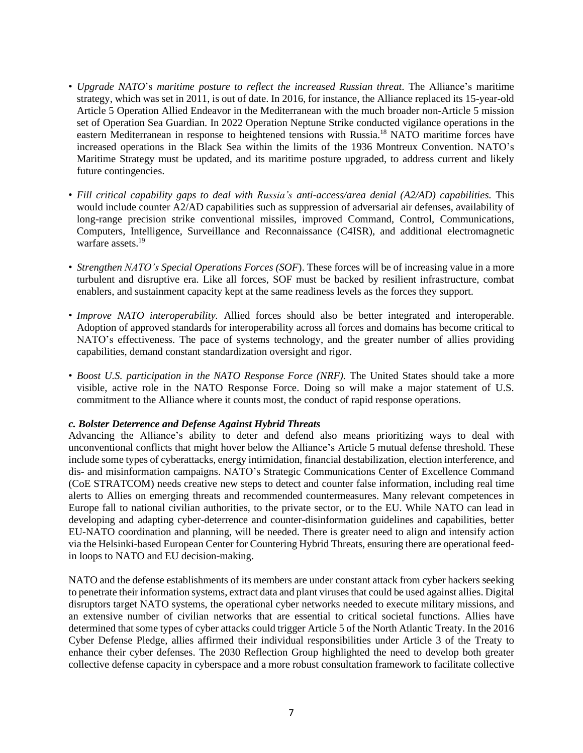- *• Upgrade NATO*'s *maritime posture to reflect the increased Russian threat*. The Alliance's maritime strategy, which was set in 2011, is out of date. In 2016, for instance, the Alliance replaced its 15-year-old Article 5 Operation Allied Endeavor in the Mediterranean with the much broader non-Article 5 mission set of Operation Sea Guardian. In 2022 Operation Neptune Strike conducted vigilance operations in the eastern Mediterranean in response to heightened tensions with Russia.<sup>18</sup> NATO maritime forces have increased operations in the Black Sea within the limits of the 1936 Montreux Convention. NATO's Maritime Strategy must be updated, and its maritime posture upgraded, to address current and likely future contingencies.
- *Fill critical capability gaps to deal with Russia's anti-access/area denial (A2/AD) capabilities.* This would include counter A2/AD capabilities such as suppression of adversarial air defenses, availability of long-range precision strike conventional missiles, improved Command, Control, Communications, Computers, Intelligence, Surveillance and Reconnaissance (C4ISR), and additional electromagnetic warfare assets.<sup>19</sup>
- *Strengthen NATO's Special Operations Forces (SOF*). These forces will be of increasing value in a more turbulent and disruptive era. Like all forces, SOF must be backed by resilient infrastructure, combat enablers, and sustainment capacity kept at the same readiness levels as the forces they support.
- *Improve NATO interoperability.* Allied forces should also be better integrated and interoperable. Adoption of approved standards for interoperability across all forces and domains has become critical to NATO's effectiveness. The pace of systems technology, and the greater number of allies providing capabilities, demand constant standardization oversight and rigor.
- *Boost U.S. participation in the NATO Response Force (NRF).* The United States should take a more visible, active role in the NATO Response Force. Doing so will make a major statement of U.S. commitment to the Alliance where it counts most, the conduct of rapid response operations.

#### *c. Bolster Deterrence and Defense Against Hybrid Threats*

Advancing the Alliance's ability to deter and defend also means prioritizing ways to deal with unconventional conflicts that might hover below the Alliance's Article 5 mutual defense threshold. These include some types of cyberattacks, energy intimidation, financial destabilization, election interference, and dis- and misinformation campaigns. NATO's Strategic Communications Center of Excellence Command (CoE STRATCOM) needs creative new steps to detect and counter false information, including real time alerts to Allies on emerging threats and recommended countermeasures. Many relevant competences in Europe fall to national civilian authorities, to the private sector, or to the EU. While NATO can lead in developing and adapting cyber-deterrence and counter-disinformation guidelines and capabilities, better EU-NATO coordination and planning, will be needed. There is greater need to align and intensify action via the Helsinki-based European Center for Countering Hybrid Threats, ensuring there are operational feedin loops to NATO and EU decision-making.

NATO and the defense establishments of its members are under constant attack from cyber hackers seeking to penetrate their information systems, extract data and plant viruses that could be used against allies. Digital disruptors target NATO systems, the operational cyber networks needed to execute military missions, and an extensive number of civilian networks that are essential to critical societal functions. Allies have determined that some types of cyber attacks could trigger Article 5 of the North Atlantic Treaty. In the 2016 Cyber Defense Pledge, allies affirmed their individual responsibilities under Article 3 of the Treaty to enhance their cyber defenses. The 2030 Reflection Group highlighted the need to develop both greater collective defense capacity in cyberspace and a more robust consultation framework to facilitate collective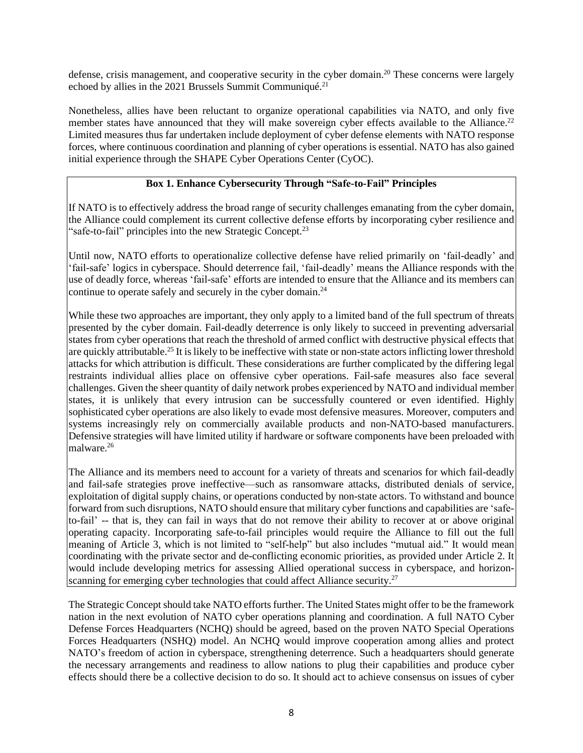defense, crisis management, and cooperative security in the cyber domain.<sup>20</sup> These concerns were largely echoed by allies in the 2021 Brussels Summit Communiqué.<sup>21</sup>

Nonetheless, allies have been reluctant to organize operational capabilities via NATO, and only five member states have announced that they will make sovereign cyber effects available to the Alliance.<sup>22</sup> Limited measures thus far undertaken include deployment of cyber defense elements with NATO response forces, where continuous coordination and planning of cyber operations is essential. NATO has also gained initial experience through the SHAPE Cyber Operations Center (CyOC).

# **Box 1. Enhance Cybersecurity Through "Safe-to-Fail" Principles**

If NATO is to effectively address the broad range of security challenges emanating from the cyber domain, the Alliance could complement its current collective defense efforts by incorporating cyber resilience and "safe-to-fail" principles into the new Strategic Concept.<sup>23</sup>

Until now, NATO efforts to operationalize collective defense have relied primarily on 'fail-deadly' and 'fail-safe' logics in cyberspace. Should deterrence fail, 'fail-deadly' means the Alliance responds with the use of deadly force, whereas 'fail-safe' efforts are intended to ensure that the Alliance and its members can continue to operate safely and securely in the cyber domain.<sup>24</sup>

While these two approaches are important, they only apply to a limited band of the full spectrum of threats presented by the cyber domain. Fail-deadly deterrence is only likely to succeed in preventing adversarial states from cyber operations that reach the threshold of armed conflict with destructive physical effects that are quickly attributable.<sup>25</sup> It is likely to be ineffective with state or non-state actors inflicting lower threshold attacks for which attribution is difficult. These considerations are further complicated by the differing legal restraints individual allies place on offensive cyber operations. Fail-safe measures also face several challenges. Given the sheer quantity of daily network probes experienced by NATO and individual member states, it is unlikely that every intrusion can be successfully countered or even identified. Highly sophisticated cyber operations are also likely to evade most defensive measures. Moreover, computers and systems increasingly rely on commercially available products and non-NATO-based manufacturers. Defensive strategies will have limited utility if hardware or software components have been preloaded with malware.<sup>26</sup>

The Alliance and its members need to account for a variety of threats and scenarios for which fail-deadly and fail-safe strategies prove ineffective—such as ransomware attacks, distributed denials of service, exploitation of digital supply chains, or operations conducted by non-state actors. To withstand and bounce forward from such disruptions, NATO should ensure that military cyber functions and capabilities are 'safeto-fail' -- that is, they can fail in ways that do not remove their ability to recover at or above original operating capacity. Incorporating safe-to-fail principles would require the Alliance to fill out the full meaning of Article 3, which is not limited to "self-help" but also includes "mutual aid." It would mean coordinating with the private sector and de-conflicting economic priorities, as provided under Article 2. It would include developing metrics for assessing Allied operational success in cyberspace, and horizonscanning for emerging cyber technologies that could affect Alliance security.<sup>27</sup>

The Strategic Concept should take NATO efforts further. The United States might offer to be the framework nation in the next evolution of NATO cyber operations planning and coordination. A full NATO Cyber Defense Forces Headquarters (NCHQ) should be agreed, based on the proven NATO Special Operations Forces Headquarters (NSHQ) model. An NCHQ would improve cooperation among allies and protect NATO's freedom of action in cyberspace, strengthening deterrence. Such a headquarters should generate the necessary arrangements and readiness to allow nations to plug their capabilities and produce cyber effects should there be a collective decision to do so. It should act to achieve consensus on issues of cyber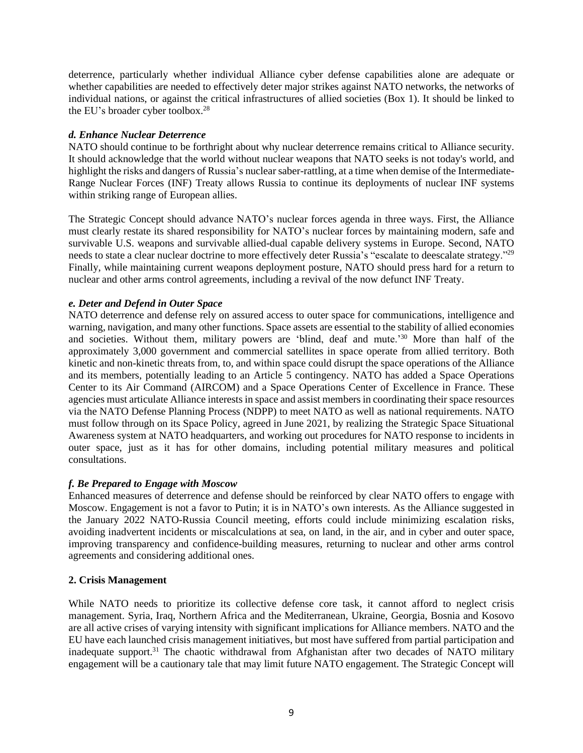deterrence, particularly whether individual Alliance cyber defense capabilities alone are adequate or whether capabilities are needed to effectively deter major strikes against NATO networks, the networks of individual nations, or against the critical infrastructures of allied societies (Box 1). It should be linked to the EU's broader cyber toolbox.<sup>28</sup>

## *d. Enhance Nuclear Deterrence*

NATO should continue to be forthright about why nuclear deterrence remains critical to Alliance security. It should acknowledge that the world without nuclear weapons that NATO seeks is not today's world, and highlight the risks and dangers of Russia's nuclear saber-rattling, at a time when demise of the Intermediate-Range Nuclear Forces (INF) Treaty allows Russia to continue its deployments of nuclear INF systems within striking range of European allies.

The Strategic Concept should advance NATO's nuclear forces agenda in three ways. First, the Alliance must clearly restate its shared responsibility for NATO's nuclear forces by maintaining modern, safe and survivable U.S. weapons and survivable allied-dual capable delivery systems in Europe. Second, NATO needs to state a clear nuclear doctrine to more effectively deter Russia's "escalate to deescalate strategy."<sup>29</sup> Finally, while maintaining current weapons deployment posture, NATO should press hard for a return to nuclear and other arms control agreements, including a revival of the now defunct INF Treaty.

# *e. Deter and Defend in Outer Space*

NATO deterrence and defense rely on assured access to outer space for communications, intelligence and warning, navigation, and many other functions. Space assets are essential to the stability of allied economies and societies. Without them, military powers are 'blind, deaf and mute.'<sup>30</sup> More than half of the approximately 3,000 government and commercial satellites in space operate from allied territory. Both kinetic and non-kinetic threats from, to, and within space could disrupt the space operations of the Alliance and its members, potentially leading to an Article 5 contingency. NATO has added a Space Operations Center to its Air Command (AIRCOM) and a Space Operations Center of Excellence in France. These agencies must articulate Alliance interests in space and assist members in coordinating their space resources via the NATO Defense Planning Process (NDPP) to meet NATO as well as national requirements. NATO must follow through on its Space Policy, agreed in June 2021, by realizing the Strategic Space Situational Awareness system at NATO headquarters, and working out procedures for NATO response to incidents in outer space, just as it has for other domains, including potential military measures and political consultations.

# *f. Be Prepared to Engage with Moscow*

Enhanced measures of deterrence and defense should be reinforced by clear NATO offers to engage with Moscow. Engagement is not a favor to Putin; it is in NATO's own interests. As the Alliance suggested in the January 2022 NATO-Russia Council meeting, efforts could include minimizing escalation risks, avoiding inadvertent incidents or miscalculations at sea, on land, in the air, and in cyber and outer space, improving transparency and confidence-building measures, returning to nuclear and other arms control agreements and considering additional ones.

#### **2. Crisis Management**

While NATO needs to prioritize its collective defense core task, it cannot afford to neglect crisis management. Syria, Iraq, Northern Africa and the Mediterranean, Ukraine, Georgia, Bosnia and Kosovo are all active crises of varying intensity with significant implications for Alliance members. NATO and the EU have each launched crisis management initiatives, but most have suffered from partial participation and inadequate support.<sup>31</sup> The chaotic withdrawal from Afghanistan after two decades of NATO military engagement will be a cautionary tale that may limit future NATO engagement. The Strategic Concept will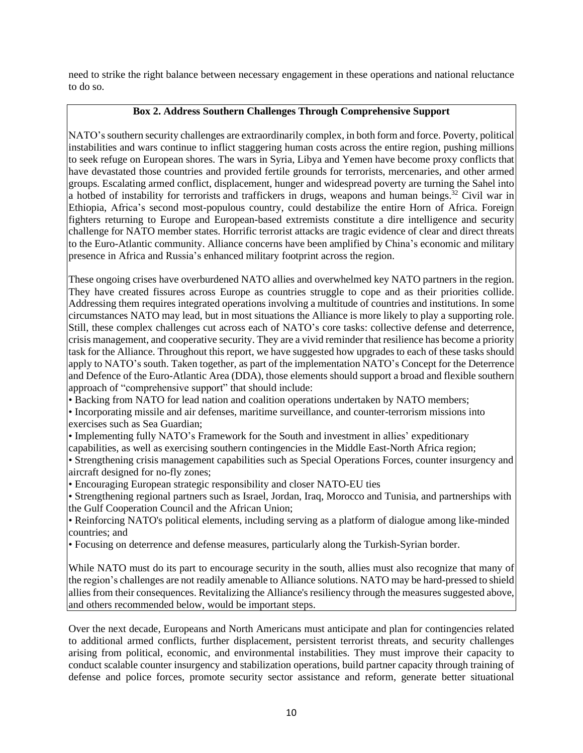need to strike the right balance between necessary engagement in these operations and national reluctance to do so.

# **Box 2. Address Southern Challenges Through Comprehensive Support**

NATO's southern security challenges are extraordinarily complex, in both form and force. Poverty, political instabilities and wars continue to inflict staggering human costs across the entire region, pushing millions to seek refuge on European shores. The wars in Syria, Libya and Yemen have become proxy conflicts that have devastated those countries and provided fertile grounds for terrorists, mercenaries, and other armed groups. Escalating armed conflict, displacement, hunger and widespread poverty are turning the Sahel into a hotbed of instability for terrorists and traffickers in drugs, weapons and human beings.<sup>32</sup> Civil war in Ethiopia, Africa's second most-populous country, could destabilize the entire Horn of Africa. Foreign fighters returning to Europe and European-based extremists constitute a dire intelligence and security challenge for NATO member states. Horrific terrorist attacks are tragic evidence of clear and direct threats to the Euro-Atlantic community. Alliance concerns have been amplified by China's economic and military presence in Africa and Russia's enhanced military footprint across the region.

These ongoing crises have overburdened NATO allies and overwhelmed key NATO partners in the region. They have created fissures across Europe as countries struggle to cope and as their priorities collide. Addressing them requires integrated operations involving a multitude of countries and institutions. In some circumstances NATO may lead, but in most situations the Alliance is more likely to play a supporting role. Still, these complex challenges cut across each of NATO's core tasks: collective defense and deterrence, crisis management, and cooperative security. They are a vivid reminder that resilience has become a priority task for the Alliance. Throughout this report, we have suggested how upgrades to each of these tasks should apply to NATO's south. Taken together, as part of the implementation NATO's Concept for the Deterrence and Defence of the Euro-Atlantic Area (DDA), those elements should support a broad and flexible southern approach of "comprehensive support" that should include:

• Backing from NATO for lead nation and coalition operations undertaken by NATO members;

• Incorporating missile and air defenses, maritime surveillance, and counter-terrorism missions into exercises such as Sea Guardian;

• Implementing fully NATO's Framework for the South and investment in allies' expeditionary capabilities, as well as exercising southern contingencies in the Middle East-North Africa region;

• Strengthening crisis management capabilities such as Special Operations Forces, counter insurgency and aircraft designed for no-fly zones;

• Encouraging European strategic responsibility and closer NATO-EU ties

• Strengthening regional partners such as Israel, Jordan, Iraq, Morocco and Tunisia, and partnerships with the Gulf Cooperation Council and the African Union;

• Reinforcing NATO's political elements, including serving as a platform of dialogue among like-minded countries; and

• Focusing on deterrence and defense measures, particularly along the Turkish-Syrian border.

While NATO must do its part to encourage security in the south, allies must also recognize that many of the region's challenges are not readily amenable to Alliance solutions. NATO may be hard-pressed to shield allies from their consequences. Revitalizing the Alliance's resiliency through the measures suggested above, and others recommended below, would be important steps.

Over the next decade, Europeans and North Americans must anticipate and plan for contingencies related to additional armed conflicts, further displacement, persistent terrorist threats, and security challenges arising from political, economic, and environmental instabilities. They must improve their capacity to conduct scalable counter insurgency and stabilization operations, build partner capacity through training of defense and police forces, promote security sector assistance and reform, generate better situational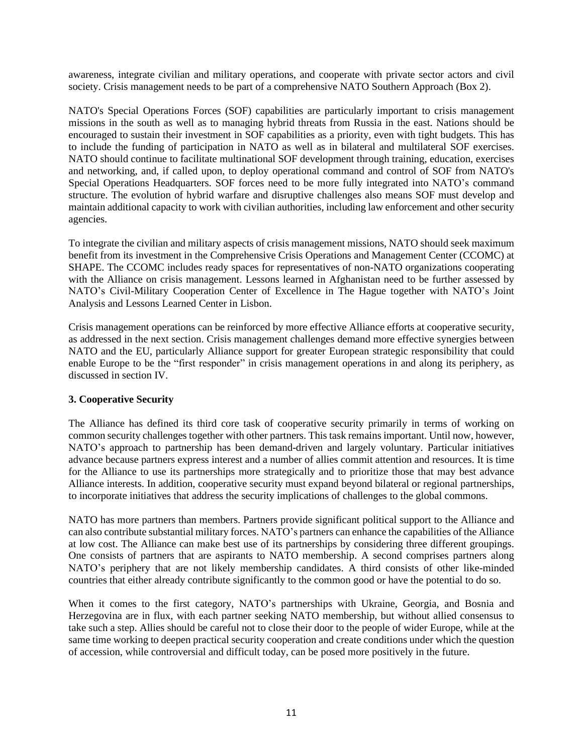awareness, integrate civilian and military operations, and cooperate with private sector actors and civil society. Crisis management needs to be part of a comprehensive NATO Southern Approach (Box 2).

NATO's Special Operations Forces (SOF) capabilities are particularly important to crisis management missions in the south as well as to managing hybrid threats from Russia in the east. Nations should be encouraged to sustain their investment in SOF capabilities as a priority, even with tight budgets. This has to include the funding of participation in NATO as well as in bilateral and multilateral SOF exercises. NATO should continue to facilitate multinational SOF development through training, education, exercises and networking, and, if called upon, to deploy operational command and control of SOF from NATO's Special Operations Headquarters. SOF forces need to be more fully integrated into NATO's command structure. The evolution of hybrid warfare and disruptive challenges also means SOF must develop and maintain additional capacity to work with civilian authorities, including law enforcement and other security agencies.

To integrate the civilian and military aspects of crisis management missions, NATO should seek maximum benefit from its investment in the Comprehensive Crisis Operations and Management Center (CCOMC) at SHAPE. The CCOMC includes ready spaces for representatives of non-NATO organizations cooperating with the Alliance on crisis management. Lessons learned in Afghanistan need to be further assessed by NATO's Civil-Military Cooperation Center of Excellence in The Hague together with NATO's Joint Analysis and Lessons Learned Center in Lisbon.

Crisis management operations can be reinforced by more effective Alliance efforts at cooperative security, as addressed in the next section. Crisis management challenges demand more effective synergies between NATO and the EU, particularly Alliance support for greater European strategic responsibility that could enable Europe to be the "first responder" in crisis management operations in and along its periphery, as discussed in section IV.

#### **3. Cooperative Security**

The Alliance has defined its third core task of cooperative security primarily in terms of working on common security challenges together with other partners. This task remains important. Until now, however, NATO's approach to partnership has been demand-driven and largely voluntary. Particular initiatives advance because partners express interest and a number of allies commit attention and resources. It is time for the Alliance to use its partnerships more strategically and to prioritize those that may best advance Alliance interests. In addition, cooperative security must expand beyond bilateral or regional partnerships, to incorporate initiatives that address the security implications of challenges to the global commons.

NATO has more partners than members. Partners provide significant political support to the Alliance and can also contribute substantial military forces. NATO's partners can enhance the capabilities of the Alliance at low cost. The Alliance can make best use of its partnerships by considering three different groupings. One consists of partners that are aspirants to NATO membership. A second comprises partners along NATO's periphery that are not likely membership candidates. A third consists of other like-minded countries that either already contribute significantly to the common good or have the potential to do so.

When it comes to the first category, NATO's partnerships with Ukraine, Georgia, and Bosnia and Herzegovina are in flux, with each partner seeking NATO membership, but without allied consensus to take such a step. Allies should be careful not to close their door to the people of wider Europe, while at the same time working to deepen practical security cooperation and create conditions under which the question of accession, while controversial and difficult today, can be posed more positively in the future.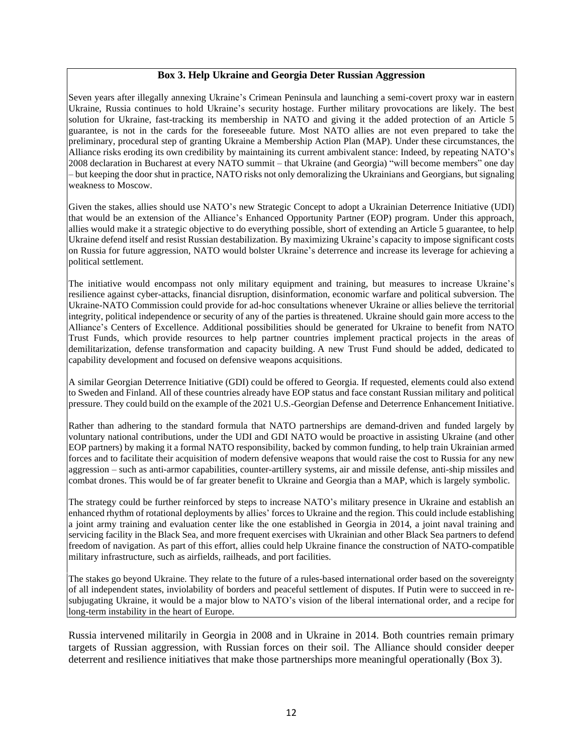#### **Box 3. Help Ukraine and Georgia Deter Russian Aggression**

Seven years after illegally annexing Ukraine's Crimean Peninsula and launching a semi-covert proxy war in eastern Ukraine, Russia continues to hold Ukraine's security hostage. Further military provocations are likely. The best solution for Ukraine, fast-tracking its membership in NATO and giving it the added protection of an Article 5 guarantee, is not in the cards for the foreseeable future. Most NATO allies are not even prepared to take the preliminary, procedural step of granting Ukraine a Membership Action Plan (MAP). Under these circumstances, the Alliance risks eroding its own credibility by maintaining its current ambivalent stance: Indeed, by repeating NATO's 2008 declaration in Bucharest at every NATO summit – that Ukraine (and Georgia) "will become members" one day – but keeping the door shut in practice, NATO risks not only demoralizing the Ukrainians and Georgians, but signaling weakness to Moscow.

Given the stakes, allies should use NATO's new Strategic Concept to adopt a Ukrainian Deterrence Initiative (UDI) that would be an extension of the Alliance's Enhanced Opportunity Partner (EOP) program. Under this approach, allies would make it a strategic objective to do everything possible, short of extending an Article 5 guarantee, to help Ukraine defend itself and resist Russian destabilization. By maximizing Ukraine's capacity to impose significant costs on Russia for future aggression, NATO would bolster Ukraine's deterrence and increase its leverage for achieving a political settlement.

The initiative would encompass not only military equipment and training, but measures to increase Ukraine's resilience against cyber-attacks, financial disruption, disinformation, economic warfare and political subversion. The Ukraine-NATO Commission could provide for ad-hoc consultations whenever Ukraine or allies believe the territorial integrity, political independence or security of any of the parties is threatened. Ukraine should gain more access to the Alliance's Centers of Excellence. Additional possibilities should be generated for Ukraine to benefit from NATO Trust Funds, which provide resources to help partner countries implement practical projects in the areas of demilitarization, defense transformation and capacity building. A new Trust Fund should be added, dedicated to capability development and focused on defensive weapons acquisitions.

A similar Georgian Deterrence Initiative (GDI) could be offered to Georgia. If requested, elements could also extend to Sweden and Finland. All of these countries already have EOP status and face constant Russian military and political pressure. They could build on the example of the 2021 U.S.-Georgian Defense and Deterrence Enhancement Initiative.

Rather than adhering to the standard formula that NATO partnerships are demand-driven and funded largely by voluntary national contributions, under the UDI and GDI NATO would be proactive in assisting Ukraine (and other EOP partners) by making it a formal NATO responsibility, backed by common funding, to help train Ukrainian armed forces and to facilitate their acquisition of modern defensive weapons that would raise the cost to Russia for any new aggression – such as anti-armor capabilities, counter-artillery systems, air and missile defense, anti-ship missiles and combat drones. This would be of far greater benefit to Ukraine and Georgia than a MAP, which is largely symbolic.

The strategy could be further reinforced by steps to increase NATO's military presence in Ukraine and establish an enhanced rhythm of rotational deployments by allies' forces to Ukraine and the region. This could include establishing a joint army training and evaluation center like the one established in Georgia in 2014, a joint naval training and servicing facility in the Black Sea, and more frequent exercises with Ukrainian and other Black Sea partners to defend freedom of navigation. As part of this effort, allies could help Ukraine finance the construction of NATO-compatible military infrastructure, such as airfields, railheads, and port facilities.

The stakes go beyond Ukraine. They relate to the future of a rules-based international order based on the sovereignty of all independent states, inviolability of borders and peaceful settlement of disputes. If Putin were to succeed in resubjugating Ukraine, it would be a major blow to NATO's vision of the liberal international order, and a recipe for long-term instability in the heart of Europe.

Russia intervened militarily in Georgia in 2008 and in Ukraine in 2014. Both countries remain primary targets of Russian aggression, with Russian forces on their soil. The Alliance should consider deeper deterrent and resilience initiatives that make those partnerships more meaningful operationally (Box 3).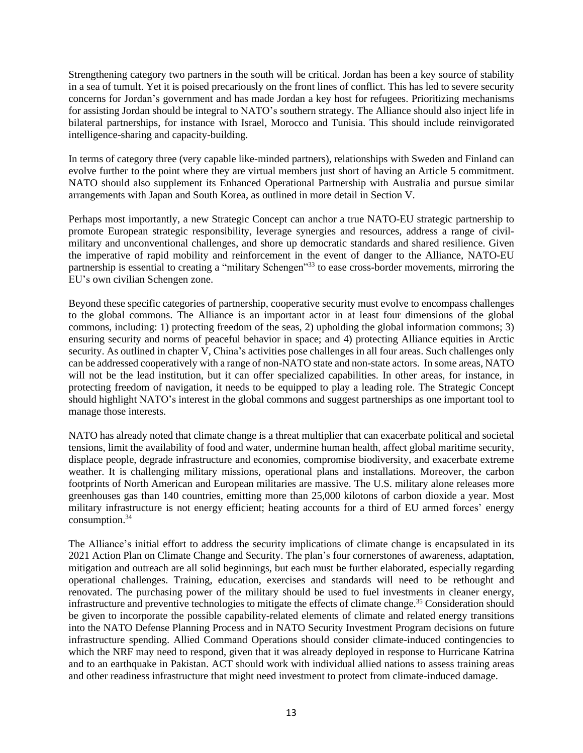Strengthening category two partners in the south will be critical. Jordan has been a key source of stability in a sea of tumult. Yet it is poised precariously on the front lines of conflict. This has led to severe security concerns for Jordan's government and has made Jordan a key host for refugees. Prioritizing mechanisms for assisting Jordan should be integral to NATO's southern strategy. The Alliance should also inject life in bilateral partnerships, for instance with Israel, Morocco and Tunisia. This should include reinvigorated intelligence-sharing and capacity-building.

In terms of category three (very capable like-minded partners), relationships with Sweden and Finland can evolve further to the point where they are virtual members just short of having an Article 5 commitment. NATO should also supplement its Enhanced Operational Partnership with Australia and pursue similar arrangements with Japan and South Korea, as outlined in more detail in Section V.

Perhaps most importantly, a new Strategic Concept can anchor a true NATO-EU strategic partnership to promote European strategic responsibility, leverage synergies and resources, address a range of civilmilitary and unconventional challenges, and shore up democratic standards and shared resilience. Given the imperative of rapid mobility and reinforcement in the event of danger to the Alliance, NATO-EU partnership is essential to creating a "military Schengen"<sup>33</sup> to ease cross-border movements, mirroring the EU's own civilian Schengen zone.

Beyond these specific categories of partnership, cooperative security must evolve to encompass challenges to the global commons. The Alliance is an important actor in at least four dimensions of the global commons, including: 1) protecting freedom of the seas, 2) upholding the global information commons; 3) ensuring security and norms of peaceful behavior in space; and 4) protecting Alliance equities in Arctic security. As outlined in chapter V, China's activities pose challenges in all four areas. Such challenges only can be addressed cooperatively with a range of non-NATO state and non-state actors. In some areas, NATO will not be the lead institution, but it can offer specialized capabilities. In other areas, for instance, in protecting freedom of navigation, it needs to be equipped to play a leading role. The Strategic Concept should highlight NATO's interest in the global commons and suggest partnerships as one important tool to manage those interests.

NATO has already noted that climate change is a threat multiplier that can exacerbate political and societal tensions, limit the availability of food and water, undermine human health, affect global maritime security, displace people, degrade infrastructure and economies, compromise biodiversity, and exacerbate extreme weather. It is challenging military missions, operational plans and installations. Moreover, the carbon footprints of North American and European militaries are massive. The U.S. military alone releases more greenhouses gas than 140 countries, emitting more than 25,000 kilotons of carbon dioxide a year. Most military infrastructure is not energy efficient; heating accounts for a third of EU armed forces' energy consumption.<sup>34</sup>

The Alliance's initial effort to address the security implications of climate change is encapsulated in its 2021 Action Plan on Climate Change and Security. The plan's four cornerstones of awareness, adaptation, mitigation and outreach are all solid beginnings, but each must be further elaborated, especially regarding operational challenges. Training, education, exercises and standards will need to be rethought and renovated. The purchasing power of the military should be used to fuel investments in cleaner energy, infrastructure and preventive technologies to mitigate the effects of climate change.<sup>35</sup> Consideration should be given to incorporate the possible capability-related elements of climate and related energy transitions into the NATO Defense Planning Process and in NATO Security Investment Program decisions on future infrastructure spending. Allied Command Operations should consider climate-induced contingencies to which the NRF may need to respond, given that it was already deployed in response to Hurricane Katrina and to an earthquake in Pakistan. ACT should work with individual allied nations to assess training areas and other readiness infrastructure that might need investment to protect from climate-induced damage.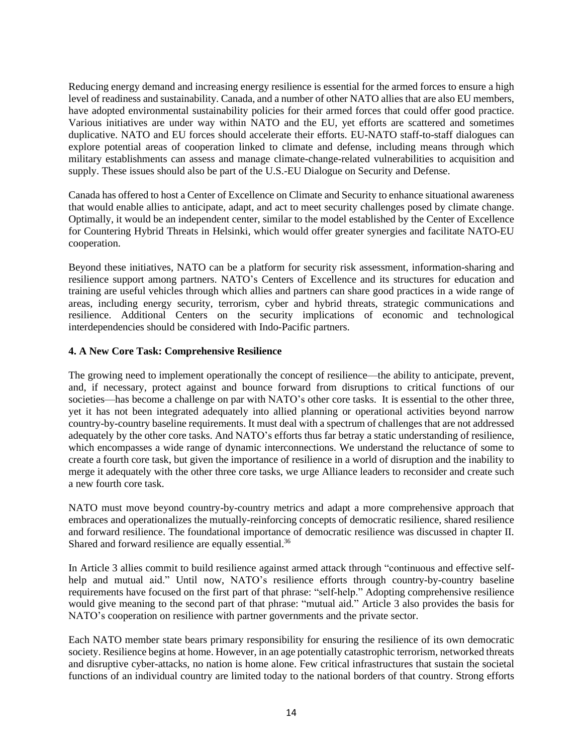Reducing energy demand and increasing energy resilience is essential for the armed forces to ensure a high level of readiness and sustainability. Canada, and a number of other NATO allies that are also EU members, have adopted environmental sustainability policies for their armed forces that could offer good practice. Various initiatives are under way within NATO and the EU, yet efforts are scattered and sometimes duplicative. NATO and EU forces should accelerate their efforts. EU-NATO staff-to-staff dialogues can explore potential areas of cooperation linked to climate and defense, including means through which military establishments can assess and manage climate-change-related vulnerabilities to acquisition and supply. These issues should also be part of the U.S.-EU Dialogue on Security and Defense.

Canada has offered to host a Center of Excellence on Climate and Security to enhance situational awareness that would enable allies to anticipate, adapt, and act to meet security challenges posed by climate change. Optimally, it would be an independent center, similar to the model established by the Center of Excellence for Countering Hybrid Threats in Helsinki, which would offer greater synergies and facilitate NATO-EU cooperation.

Beyond these initiatives, NATO can be a platform for security risk assessment, information-sharing and resilience support among partners. NATO's Centers of Excellence and its structures for education and training are useful vehicles through which allies and partners can share good practices in a wide range of areas, including energy security, terrorism, cyber and hybrid threats, strategic communications and resilience. Additional Centers on the security implications of economic and technological interdependencies should be considered with Indo-Pacific partners.

# **4. A New Core Task: Comprehensive Resilience**

The growing need to implement operationally the concept of resilience—the ability to anticipate, prevent, and, if necessary, protect against and bounce forward from disruptions to critical functions of our societies—has become a challenge on par with NATO's other core tasks. It is essential to the other three, yet it has not been integrated adequately into allied planning or operational activities beyond narrow country-by-country baseline requirements. It must deal with a spectrum of challenges that are not addressed adequately by the other core tasks. And NATO's efforts thus far betray a static understanding of resilience, which encompasses a wide range of dynamic interconnections. We understand the reluctance of some to create a fourth core task, but given the importance of resilience in a world of disruption and the inability to merge it adequately with the other three core tasks, we urge Alliance leaders to reconsider and create such a new fourth core task.

NATO must move beyond country-by-country metrics and adapt a more comprehensive approach that embraces and operationalizes the mutually-reinforcing concepts of democratic resilience, shared resilience and forward resilience. The foundational importance of democratic resilience was discussed in chapter II. Shared and forward resilience are equally essential.<sup>36</sup>

In Article 3 allies commit to build resilience against armed attack through "continuous and effective selfhelp and mutual aid." Until now, NATO's resilience efforts through country-by-country baseline requirements have focused on the first part of that phrase: "self-help." Adopting comprehensive resilience would give meaning to the second part of that phrase: "mutual aid." Article 3 also provides the basis for NATO's cooperation on resilience with partner governments and the private sector.

Each NATO member state bears primary responsibility for ensuring the resilience of its own democratic society. Resilience begins at home. However, in an age potentially catastrophic terrorism, networked threats and disruptive cyber-attacks, no nation is home alone. Few critical infrastructures that sustain the societal functions of an individual country are limited today to the national borders of that country. Strong efforts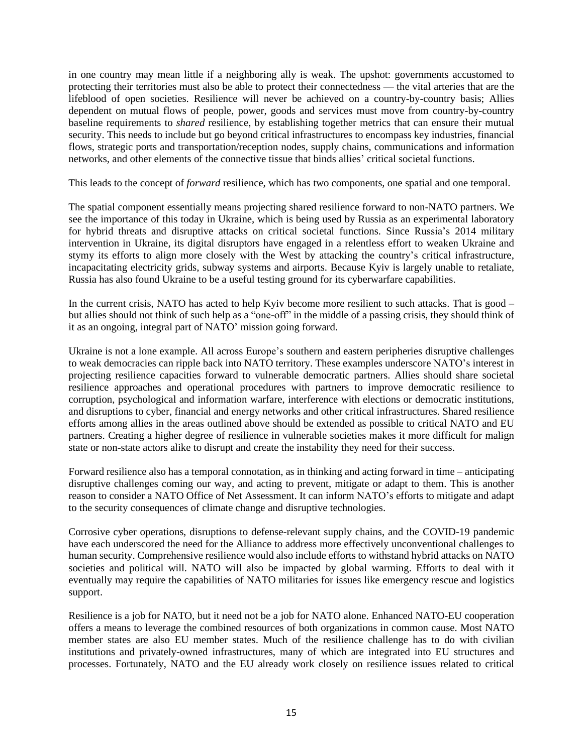in one country may mean little if a neighboring ally is weak. The upshot: governments accustomed to protecting their territories must also be able to protect their connectedness — the vital arteries that are the lifeblood of open societies. Resilience will never be achieved on a country-by-country basis; Allies dependent on mutual flows of people, power, goods and services must move from country-by-country baseline requirements to *shared* resilience, by establishing together metrics that can ensure their mutual security. This needs to include but go beyond critical infrastructures to encompass key industries, financial flows, strategic ports and transportation/reception nodes, supply chains, communications and information networks, and other elements of the connective tissue that binds allies' critical societal functions.

This leads to the concept of *forward* resilience, which has two components, one spatial and one temporal.

The spatial component essentially means projecting shared resilience forward to non-NATO partners. We see the importance of this today in Ukraine, which is being used by Russia as an experimental laboratory for hybrid threats and disruptive attacks on critical societal functions. Since Russia's 2014 military intervention in Ukraine, its digital disruptors have engaged in a relentless effort to weaken Ukraine and stymy its efforts to align more closely with the West by attacking the country's critical infrastructure, incapacitating electricity grids, subway systems and airports. Because Kyiv is largely unable to retaliate, Russia has also found Ukraine to be a useful testing ground for its cyberwarfare capabilities.

In the current crisis, NATO has acted to help Kyiv become more resilient to such attacks. That is good – but allies should not think of such help as a "one-off" in the middle of a passing crisis, they should think of it as an ongoing, integral part of NATO' mission going forward.

Ukraine is not a lone example. All across Europe's southern and eastern peripheries disruptive challenges to weak democracies can ripple back into NATO territory. These examples underscore NATO's interest in projecting resilience capacities forward to vulnerable democratic partners. Allies should share societal resilience approaches and operational procedures with partners to improve democratic resilience to corruption, psychological and information warfare, interference with elections or democratic institutions, and disruptions to cyber, financial and energy networks and other critical infrastructures. Shared resilience efforts among allies in the areas outlined above should be extended as possible to critical NATO and EU partners. Creating a higher degree of resilience in vulnerable societies makes it more difficult for malign state or non-state actors alike to disrupt and create the instability they need for their success.

Forward resilience also has a temporal connotation, as in thinking and acting forward in time – anticipating disruptive challenges coming our way, and acting to prevent, mitigate or adapt to them. This is another reason to consider a NATO Office of Net Assessment. It can inform NATO's efforts to mitigate and adapt to the security consequences of climate change and disruptive technologies.

Corrosive cyber operations, disruptions to defense-relevant supply chains, and the COVID-19 pandemic have each underscored the need for the Alliance to address more effectively unconventional challenges to human security. Comprehensive resilience would also include efforts to withstand hybrid attacks on NATO societies and political will. NATO will also be impacted by global warming. Efforts to deal with it eventually may require the capabilities of NATO militaries for issues like emergency rescue and logistics support.

Resilience is a job for NATO, but it need not be a job for NATO alone. Enhanced NATO-EU cooperation offers a means to leverage the combined resources of both organizations in common cause. Most NATO member states are also EU member states. Much of the resilience challenge has to do with civilian institutions and privately-owned infrastructures, many of which are integrated into EU structures and processes. Fortunately, NATO and the EU already work closely on resilience issues related to critical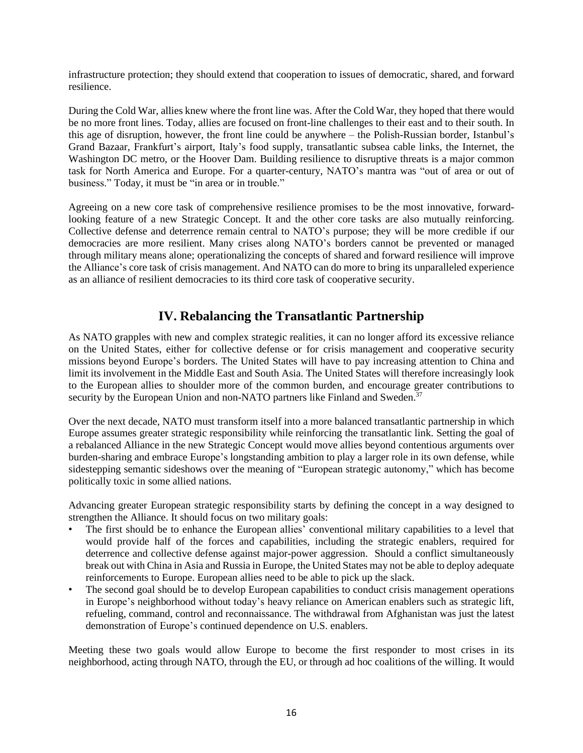infrastructure protection; they should extend that cooperation to issues of democratic, shared, and forward resilience.

During the Cold War, allies knew where the front line was. After the Cold War, they hoped that there would be no more front lines. Today, allies are focused on front-line challenges to their east and to their south. In this age of disruption, however, the front line could be anywhere – the Polish-Russian border, Istanbul's Grand Bazaar, Frankfurt's airport, Italy's food supply, transatlantic subsea cable links, the Internet, the Washington DC metro, or the Hoover Dam. Building resilience to disruptive threats is a major common task for North America and Europe. For a quarter-century, NATO's mantra was "out of area or out of business." Today, it must be "in area or in trouble."

Agreeing on a new core task of comprehensive resilience promises to be the most innovative, forwardlooking feature of a new Strategic Concept. It and the other core tasks are also mutually reinforcing. Collective defense and deterrence remain central to NATO's purpose; they will be more credible if our democracies are more resilient. Many crises along NATO's borders cannot be prevented or managed through military means alone; operationalizing the concepts of shared and forward resilience will improve the Alliance's core task of crisis management. And NATO can do more to bring its unparalleled experience as an alliance of resilient democracies to its third core task of cooperative security.

# **IV. Rebalancing the Transatlantic Partnership**

As NATO grapples with new and complex strategic realities, it can no longer afford its excessive reliance on the United States, either for collective defense or for crisis management and cooperative security missions beyond Europe's borders. The United States will have to pay increasing attention to China and limit its involvement in the Middle East and South Asia. The United States will therefore increasingly look to the European allies to shoulder more of the common burden, and encourage greater contributions to security by the European Union and non-NATO partners like Finland and Sweden.<sup>37</sup>

Over the next decade, NATO must transform itself into a more balanced transatlantic partnership in which Europe assumes greater strategic responsibility while reinforcing the transatlantic link. Setting the goal of a rebalanced Alliance in the new Strategic Concept would move allies beyond contentious arguments over burden-sharing and embrace Europe's longstanding ambition to play a larger role in its own defense, while sidestepping semantic sideshows over the meaning of "European strategic autonomy," which has become politically toxic in some allied nations.

Advancing greater European strategic responsibility starts by defining the concept in a way designed to strengthen the Alliance. It should focus on two military goals:

- The first should be to enhance the European allies' conventional military capabilities to a level that would provide half of the forces and capabilities, including the strategic enablers, required for deterrence and collective defense against major-power aggression. Should a conflict simultaneously break out with China in Asia and Russia in Europe, the United States may not be able to deploy adequate reinforcements to Europe. European allies need to be able to pick up the slack.
- The second goal should be to develop European capabilities to conduct crisis management operations in Europe's neighborhood without today's heavy reliance on American enablers such as strategic lift, refueling, command, control and reconnaissance. The withdrawal from Afghanistan was just the latest demonstration of Europe's continued dependence on U.S. enablers.

Meeting these two goals would allow Europe to become the first responder to most crises in its neighborhood, acting through NATO, through the EU, or through ad hoc coalitions of the willing. It would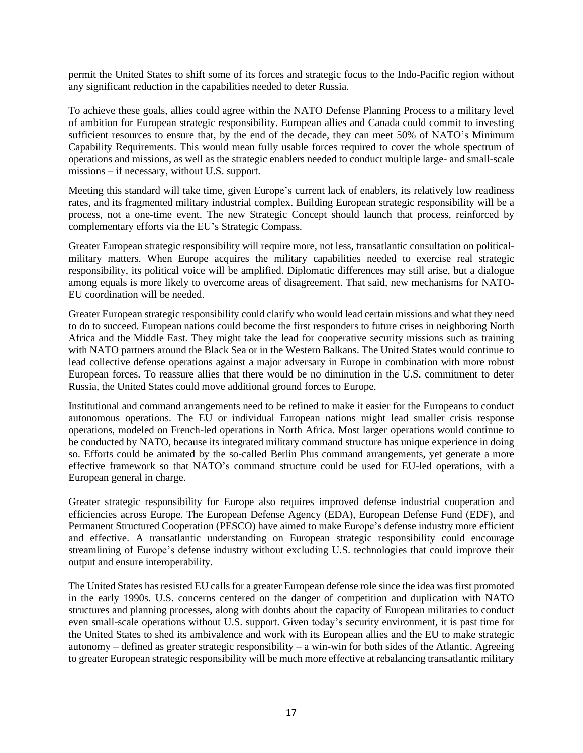permit the United States to shift some of its forces and strategic focus to the Indo-Pacific region without any significant reduction in the capabilities needed to deter Russia.

To achieve these goals, allies could agree within the NATO Defense Planning Process to a military level of ambition for European strategic responsibility. European allies and Canada could commit to investing sufficient resources to ensure that, by the end of the decade, they can meet 50% of NATO's Minimum Capability Requirements. This would mean fully usable forces required to cover the whole spectrum of operations and missions, as well as the strategic enablers needed to conduct multiple large- and small-scale missions – if necessary, without U.S. support.

Meeting this standard will take time, given Europe's current lack of enablers, its relatively low readiness rates, and its fragmented military industrial complex. Building European strategic responsibility will be a process, not a one-time event. The new Strategic Concept should launch that process, reinforced by complementary efforts via the EU's Strategic Compass.

Greater European strategic responsibility will require more, not less, transatlantic consultation on politicalmilitary matters. When Europe acquires the military capabilities needed to exercise real strategic responsibility, its political voice will be amplified. Diplomatic differences may still arise, but a dialogue among equals is more likely to overcome areas of disagreement. That said, new mechanisms for NATO-EU coordination will be needed.

Greater European strategic responsibility could clarify who would lead certain missions and what they need to do to succeed. European nations could become the first responders to future crises in neighboring North Africa and the Middle East. They might take the lead for cooperative security missions such as training with NATO partners around the Black Sea or in the Western Balkans. The United States would continue to lead collective defense operations against a major adversary in Europe in combination with more robust European forces. To reassure allies that there would be no diminution in the U.S. commitment to deter Russia, the United States could move additional ground forces to Europe.

Institutional and command arrangements need to be refined to make it easier for the Europeans to conduct autonomous operations. The EU or individual European nations might lead smaller crisis response operations, modeled on French-led operations in North Africa. Most larger operations would continue to be conducted by NATO, because its integrated military command structure has unique experience in doing so. Efforts could be animated by the so-called Berlin Plus command arrangements, yet generate a more effective framework so that NATO's command structure could be used for EU-led operations, with a European general in charge.

Greater strategic responsibility for Europe also requires improved defense industrial cooperation and efficiencies across Europe. The European Defense Agency (EDA), European Defense Fund (EDF), and Permanent Structured Cooperation (PESCO) have aimed to make Europe's defense industry more efficient and effective. A transatlantic understanding on European strategic responsibility could encourage streamlining of Europe's defense industry without excluding U.S. technologies that could improve their output and ensure interoperability.

The United States has resisted EU calls for a greater European defense role since the idea was first promoted in the early 1990s. U.S. concerns centered on the danger of competition and duplication with NATO structures and planning processes, along with doubts about the capacity of European militaries to conduct even small-scale operations without U.S. support. Given today's security environment, it is past time for the United States to shed its ambivalence and work with its European allies and the EU to make strategic autonomy – defined as greater strategic responsibility – a win-win for both sides of the Atlantic. Agreeing to greater European strategic responsibility will be much more effective at rebalancing transatlantic military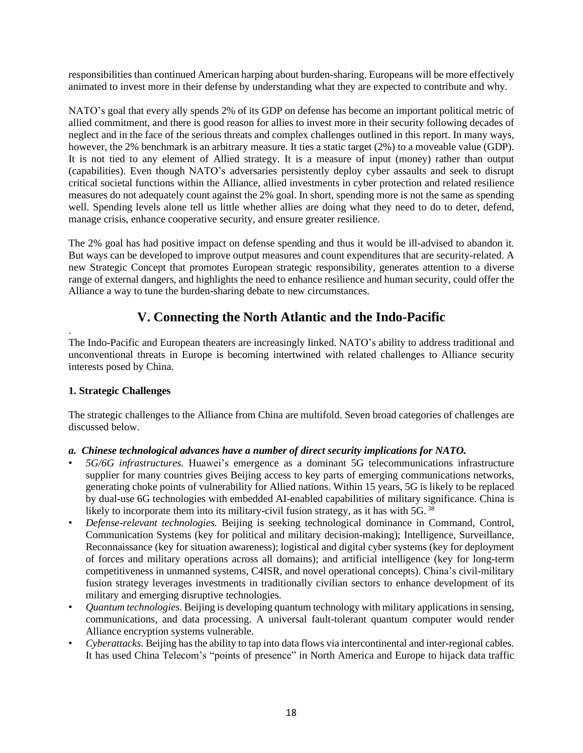responsibilities than continued American harping about burden-sharing. Europeans will be more effectively animated to invest more in their defense by understanding what they are expected to contribute and why.

NATO's goal that every ally spends 2% of its GDP on defense has become an important political metric of allied commitment, and there is good reason for allies to invest more in their security following decades of neglect and in the face of the serious threats and complex challenges outlined in this report. In many ways, however, the 2% benchmark is an arbitrary measure. It ties a static target (2%) to a moveable value (GDP). It is not tied to any element of Allied strategy. It is a measure of input (money) rather than output (capabilities). Even though NATO's adversaries persistently deploy cyber assaults and seek to disrupt critical societal functions within the Alliance, allied investments in cyber protection and related resilience measures do not adequately count against the 2% goal. In short, spending more is not the same as spending well. Spending levels alone tell us little whether allies are doing what they need to do to deter, defend, manage crisis, enhance cooperative security, and ensure greater resilience.

The 2% goal has had positive impact on defense spending and thus it would be ill-advised to abandon it. But ways can be developed to improve output measures and count expenditures that are security-related. A new Strategic Concept that promotes European strategic responsibility, generates attention to a diverse range of external dangers, and highlights the need to enhance resilience and human security, could offer the Alliance a way to tune the burden-sharing debate to new circumstances.

# **V. Connecting the North Atlantic and the Indo-Pacific**

The Indo-Pacific and European theaters are increasingly linked. NATO's ability to address traditional and unconventional threats in Europe is becoming intertwined with related challenges to Alliance security interests posed by China.

# **1. Strategic Challenges**

.

The strategic challenges to the Alliance from China are multifold. Seven broad categories of challenges are discussed below.

# *a. Chinese technological advances have a number of direct security implications for NATO.*

- *• 5G/6G infrastructures.* Huawei's emergence as a dominant 5G telecommunications infrastructure supplier for many countries gives Beijing access to key parts of emerging communications networks, generating choke points of vulnerability for Allied nations. Within 15 years, 5G is likely to be replaced by dual-use 6G technologies with embedded AI-enabled capabilities of military significance. China is likely to incorporate them into its military-civil fusion strategy, as it has with 5G. 38
- *• Defense-relevant technologies.* Beijing is seeking technological dominance in Command, Control, Communication Systems (key for political and military decision-making); Intelligence, Surveillance, Reconnaissance (key for situation awareness); logistical and digital cyber systems (key for deployment of forces and military operations across all domains); and artificial intelligence (key for long-term competitiveness in unmanned systems, C4ISR, and novel operational concepts). China's civil-military fusion strategy leverages investments in traditionally civilian sectors to enhance development of its military and emerging disruptive technologies.
- *• Quantum technologies.* Beijing is developing quantum technology with military applicationsin sensing, communications, and data processing. A universal fault-tolerant quantum computer would render Alliance encryption systems vulnerable.
- *Cyberattacks*. Beijing has the ability to tap into data flows via intercontinental and inter-regional cables. It has used China Telecom's "points of presence" in North America and Europe to hijack data traffic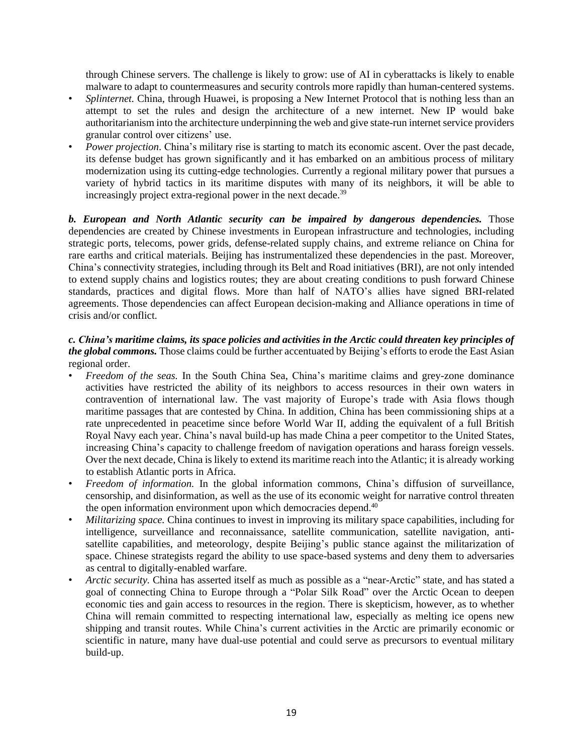through Chinese servers. The challenge is likely to grow: use of AI in cyberattacks is likely to enable malware to adapt to countermeasures and security controls more rapidly than human-centered systems.

- *Splinternet*. China, through Huawei, is proposing a New Internet Protocol that is nothing less than an attempt to set the rules and design the architecture of a new internet. New IP would bake authoritarianism into the architecture underpinning the web and give state-run internet service providers granular control over citizens' use.
- *• Power projection*. China's military rise is starting to match its economic ascent. Over the past decade, its defense budget has grown significantly and it has embarked on an ambitious process of military modernization using its cutting-edge technologies. Currently a regional military power that pursues a variety of hybrid tactics in its maritime disputes with many of its neighbors, it will be able to increasingly project extra-regional power in the next decade.<sup>39</sup>

*b. European and North Atlantic security can be impaired by dangerous dependencies.* Those dependencies are created by Chinese investments in European infrastructure and technologies, including strategic ports, telecoms, power grids, defense-related supply chains, and extreme reliance on China for rare earths and critical materials. Beijing has instrumentalized these dependencies in the past. Moreover, China's connectivity strategies, including through its Belt and Road initiatives (BRI), are not only intended to extend supply chains and logistics routes; they are about creating conditions to push forward Chinese standards, practices and digital flows. More than half of NATO's allies have signed BRI-related agreements. Those dependencies can affect European decision-making and Alliance operations in time of crisis and/or conflict.

# c. China's maritime claims, its space policies and activities in the Arctic could threaten key principles of *the global commons.* Those claims could be further accentuated by Beijing's efforts to erode the East Asian regional order.

- *• Freedom of the seas.* In the South China Sea, China's maritime claims and grey-zone dominance activities have restricted the ability of its neighbors to access resources in their own waters in contravention of international law. The vast majority of Europe's trade with Asia flows though maritime passages that are contested by China. In addition, China has been commissioning ships at a rate unprecedented in peacetime since before World War II, adding the equivalent of a full British Royal Navy each year. China's naval build-up has made China a peer competitor to the United States, increasing China's capacity to challenge freedom of navigation operations and harass foreign vessels. Over the next decade, China is likely to extend its maritime reach into the Atlantic; it is already working to establish Atlantic ports in Africa.
- *• Freedom of information.* In the global information commons, China's diffusion of surveillance, censorship, and disinformation, as well as the use of its economic weight for narrative control threaten the open information environment upon which democracies depend.<sup>40</sup>
- *• Militarizing space.* China continues to invest in improving its military space capabilities, including for intelligence, surveillance and reconnaissance, satellite communication, satellite navigation, antisatellite capabilities, and meteorology, despite Beijing's public stance against the militarization of space. Chinese strategists regard the ability to use space-based systems and deny them to adversaries as central to digitally-enabled warfare.
- *• Arctic security.* China has asserted itself as much as possible as a "near-Arctic" state, and has stated a goal of connecting China to Europe through a "Polar Silk Road" over the Arctic Ocean to deepen economic ties and gain access to resources in the region. There is skepticism, however, as to whether China will remain committed to respecting international law, especially as melting ice opens new shipping and transit routes. While China's current activities in the Arctic are primarily economic or scientific in nature, many have dual-use potential and could serve as precursors to eventual military build-up.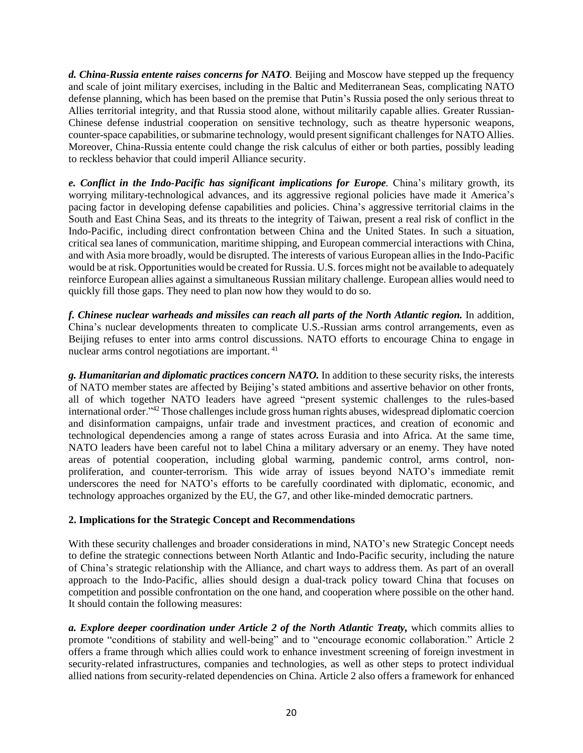*d. China-Russia entente raises concerns for NATO.* Beijing and Moscow have stepped up the frequency and scale of joint military exercises, including in the Baltic and Mediterranean Seas, complicating NATO defense planning, which has been based on the premise that Putin's Russia posed the only serious threat to Allies territorial integrity, and that Russia stood alone, without militarily capable allies. Greater Russian-Chinese defense industrial cooperation on sensitive technology, such as theatre hypersonic weapons, counter-space capabilities, or submarine technology, would present significant challenges for NATO Allies. Moreover, China-Russia entente could change the risk calculus of either or both parties, possibly leading to reckless behavior that could imperil Alliance security.

*e. Conflict in the Indo-Pacific has significant implications for Europe.* China's military growth, its worrying military-technological advances, and its aggressive regional policies have made it America's pacing factor in developing defense capabilities and policies. China's aggressive territorial claims in the South and East China Seas, and its threats to the integrity of Taiwan, present a real risk of conflict in the Indo-Pacific, including direct confrontation between China and the United States. In such a situation, critical sea lanes of communication, maritime shipping, and European commercial interactions with China, and with Asia more broadly, would be disrupted. The interests of various European allies in the Indo-Pacific would be at risk. Opportunities would be created for Russia. U.S. forces might not be available to adequately reinforce European allies against a simultaneous Russian military challenge. European allies would need to quickly fill those gaps. They need to plan now how they would to do so.

*f. Chinese nuclear warheads and missiles can reach all parts of the North Atlantic region.* In addition, China's nuclear developments threaten to complicate U.S.-Russian arms control arrangements, even as Beijing refuses to enter into arms control discussions. NATO efforts to encourage China to engage in nuclear arms control negotiations are important. <sup>41</sup>

*g. Humanitarian and diplomatic practices concern NATO.* In addition to these security risks, the interests of NATO member states are affected by Beijing's stated ambitions and assertive behavior on other fronts, all of which together NATO leaders have agreed "present systemic challenges to the rules-based international order.<sup>"42</sup> Those challenges include gross human rights abuses, widespread diplomatic coercion and disinformation campaigns, unfair trade and investment practices, and creation of economic and technological dependencies among a range of states across Eurasia and into Africa. At the same time, NATO leaders have been careful not to label China a military adversary or an enemy. They have noted areas of potential cooperation, including global warming, pandemic control, arms control, nonproliferation, and counter-terrorism. This wide array of issues beyond NATO's immediate remit underscores the need for NATO's efforts to be carefully coordinated with diplomatic, economic, and technology approaches organized by the EU, the G7, and other like-minded democratic partners.

# **2. Implications for the Strategic Concept and Recommendations**

With these security challenges and broader considerations in mind, NATO's new Strategic Concept needs to define the strategic connections between North Atlantic and Indo-Pacific security, including the nature of China's strategic relationship with the Alliance, and chart ways to address them. As part of an overall approach to the Indo-Pacific, allies should design a dual-track policy toward China that focuses on competition and possible confrontation on the one hand, and cooperation where possible on the other hand. It should contain the following measures:

*a. Explore deeper coordination under Article 2 of the North Atlantic Treaty,* which commits allies to promote "conditions of stability and well-being" and to "encourage economic collaboration." Article 2 offers a frame through which allies could work to enhance investment screening of foreign investment in security-related infrastructures, companies and technologies, as well as other steps to protect individual allied nations from security-related dependencies on China. Article 2 also offers a framework for enhanced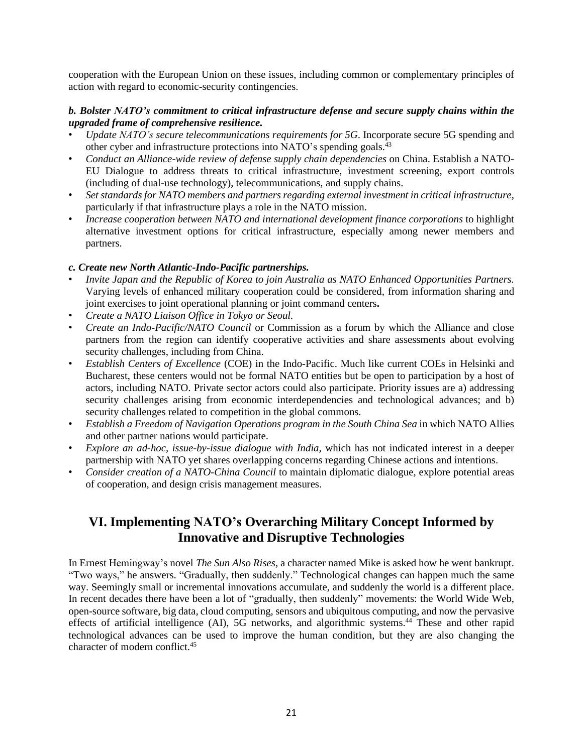cooperation with the European Union on these issues, including common or complementary principles of action with regard to economic-security contingencies.

#### *b. Bolster NATO's commitment to critical infrastructure defense and secure supply chains within the upgraded frame of comprehensive resilience.*

- *• Update NATO's secure telecommunications requirements for 5G*. Incorporate secure 5G spending and other cyber and infrastructure protections into NATO's spending goals.<sup>43</sup>
- *• Conduct an Alliance-wide review of defense supply chain dependencies* on China. Establish a NATO-EU Dialogue to address threats to critical infrastructure, investment screening, export controls (including of dual-use technology), telecommunications, and supply chains.
- *• Set standards for NATO members and partners regarding external investment in critical infrastructure*, particularly if that infrastructure plays a role in the NATO mission.
- *• Increase cooperation between NATO and international development finance corporations* to highlight alternative investment options for critical infrastructure, especially among newer members and partners.

#### *c. Create new North Atlantic-Indo-Pacific partnerships.*

- *• Invite Japan and the Republic of Korea to join Australia as NATO Enhanced Opportunities Partners.* Varying levels of enhanced military cooperation could be considered, from information sharing and joint exercises to joint operational planning or joint command centers**.**
- *• Create a NATO Liaison Office in Tokyo or Seoul.*
- *• Create an Indo-Pacific/NATO Council* or Commission as a forum by which the Alliance and close partners from the region can identify cooperative activities and share assessments about evolving security challenges, including from China.
- *• Establish Centers of Excellence* (COE) in the Indo-Pacific. Much like current COEs in Helsinki and Bucharest, these centers would not be formal NATO entities but be open to participation by a host of actors, including NATO. Private sector actors could also participate. Priority issues are a) addressing security challenges arising from economic interdependencies and technological advances; and b) security challenges related to competition in the global commons.
- *• Establish a Freedom of Navigation Operations program in the South China Sea* in which NATO Allies and other partner nations would participate.
- *• Explore an ad-hoc, issue-by-issue dialogue with India,* which has not indicated interest in a deeper partnership with NATO yet shares overlapping concerns regarding Chinese actions and intentions.
- *• Consider creation of a NATO-China Council* to maintain diplomatic dialogue, explore potential areas of cooperation, and design crisis management measures.

# **VI. Implementing NATO's Overarching Military Concept Informed by Innovative and Disruptive Technologies**

In Ernest Hemingway's novel *The Sun Also Rises,* a character named Mike is asked how he went bankrupt. "Two ways," he answers. "Gradually, then suddenly." Technological changes can happen much the same way. Seemingly small or incremental innovations accumulate, and suddenly the world is a different place. In recent decades there have been a lot of "gradually, then suddenly" movements: the World Wide Web, open-source software, big data, cloud computing, sensors and ubiquitous computing, and now the pervasive effects of artificial intelligence (AI), 5G networks, and algorithmic systems.<sup>44</sup> These and other rapid technological advances can be used to improve the human condition, but they are also changing the character of modern conflict.<sup>45</sup>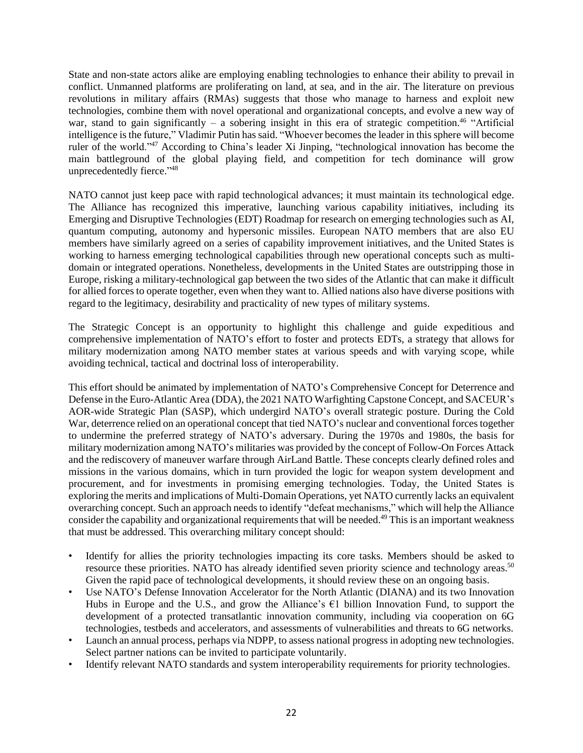State and non-state actors alike are employing enabling technologies to enhance their ability to prevail in conflict. Unmanned platforms are proliferating on land, at sea, and in the air. The literature on previous revolutions in military affairs (RMAs) suggests that those who manage to harness and exploit new technologies, combine them with novel operational and organizational concepts, and evolve a new way of war, stand to gain significantly – a sobering insight in this era of strategic competition.<sup>46</sup> "Artificial" intelligence is the future," Vladimir Putin has said. "Whoever becomes the leader in this sphere will become ruler of the world."<sup>47</sup> According to China's leader Xi Jinping, "technological innovation has become the main battleground of the global playing field, and competition for tech dominance will grow unprecedentedly fierce."<sup>48</sup>

NATO cannot just keep pace with rapid technological advances; it must maintain its technological edge. The Alliance has recognized this imperative, launching various capability initiatives, including its Emerging and Disruptive Technologies (EDT) Roadmap for research on emerging technologies such as AI, quantum computing, autonomy and hypersonic missiles. European NATO members that are also EU members have similarly agreed on a series of capability improvement initiatives, and the United States is working to harness emerging technological capabilities through new operational concepts such as multidomain or integrated operations. Nonetheless, developments in the United States are outstripping those in Europe, risking a military-technological gap between the two sides of the Atlantic that can make it difficult for allied forces to operate together, even when they want to. Allied nations also have diverse positions with regard to the legitimacy, desirability and practicality of new types of military systems.

The Strategic Concept is an opportunity to highlight this challenge and guide expeditious and comprehensive implementation of NATO's effort to foster and protects EDTs, a strategy that allows for military modernization among NATO member states at various speeds and with varying scope, while avoiding technical, tactical and doctrinal loss of interoperability.

This effort should be animated by implementation of NATO's Comprehensive Concept for Deterrence and Defense in the Euro-Atlantic Area (DDA), the 2021 NATO Warfighting Capstone Concept, and SACEUR's AOR-wide Strategic Plan (SASP), which undergird NATO's overall strategic posture. During the Cold War, deterrence relied on an operational concept that tied NATO's nuclear and conventional forces together to undermine the preferred strategy of NATO's adversary. During the 1970s and 1980s, the basis for military modernization among NATO's militaries was provided by the concept of Follow-On Forces Attack and the rediscovery of maneuver warfare through AirLand Battle. These concepts clearly defined roles and missions in the various domains, which in turn provided the logic for weapon system development and procurement, and for investments in promising emerging technologies. Today, the United States is exploring the merits and implications of Multi-Domain Operations, yet NATO currently lacks an equivalent overarching concept. Such an approach needs to identify "defeat mechanisms," which will help the Alliance consider the capability and organizational requirements that will be needed.<sup>49</sup> This is an important weakness that must be addressed. This overarching military concept should:

- Identify for allies the priority technologies impacting its core tasks. Members should be asked to resource these priorities. NATO has already identified seven priority science and technology areas.<sup>50</sup> Given the rapid pace of technological developments, it should review these on an ongoing basis.
- *•* Use NATO's Defense Innovation Accelerator for the North Atlantic (DIANA) and its two Innovation Hubs in Europe and the U.S., and grow the Alliance's  $\epsilon$ 1 billion Innovation Fund, to support the development of a protected transatlantic innovation community, including via cooperation on 6G technologies, testbeds and accelerators, and assessments of vulnerabilities and threats to 6G networks.
- Launch an annual process, perhaps via NDPP, to assess national progress in adopting new technologies. Select partner nations can be invited to participate voluntarily.
- Identify relevant NATO standards and system interoperability requirements for priority technologies.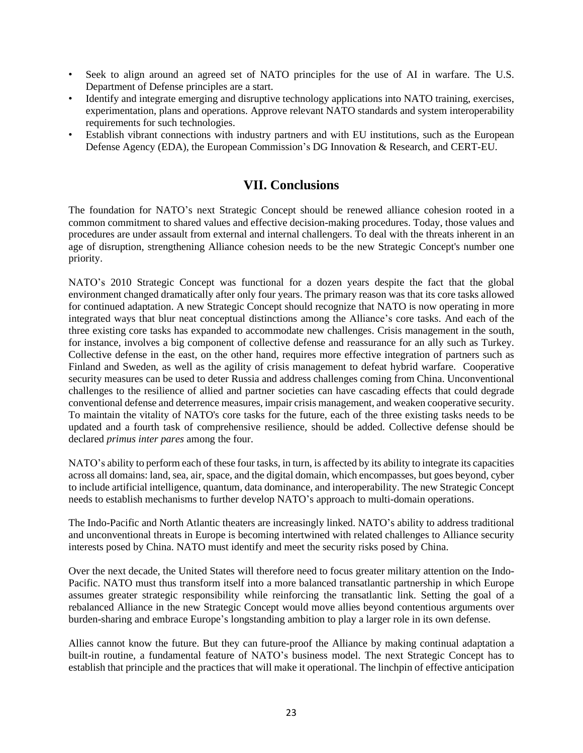- Seek to align around an agreed set of NATO principles for the use of AI in warfare. The U.S. Department of Defense principles are a start.
- Identify and integrate emerging and disruptive technology applications into NATO training, exercises, experimentation, plans and operations. Approve relevant NATO standards and system interoperability requirements for such technologies.
- *•* Establish vibrant connections with industry partners and with EU institutions, such as the European Defense Agency (EDA), the European Commission's DG Innovation & Research, and CERT-EU.

# **VII. Conclusions**

The foundation for NATO's next Strategic Concept should be renewed alliance cohesion rooted in a common commitment to shared values and effective decision-making procedures. Today, those values and procedures are under assault from external and internal challengers. To deal with the threats inherent in an age of disruption, strengthening Alliance cohesion needs to be the new Strategic Concept's number one priority.

NATO's 2010 Strategic Concept was functional for a dozen years despite the fact that the global environment changed dramatically after only four years. The primary reason was that its core tasks allowed for continued adaptation. A new Strategic Concept should recognize that NATO is now operating in more integrated ways that blur neat conceptual distinctions among the Alliance's core tasks. And each of the three existing core tasks has expanded to accommodate new challenges. Crisis management in the south, for instance, involves a big component of collective defense and reassurance for an ally such as Turkey. Collective defense in the east, on the other hand, requires more effective integration of partners such as Finland and Sweden, as well as the agility of crisis management to defeat hybrid warfare. Cooperative security measures can be used to deter Russia and address challenges coming from China. Unconventional challenges to the resilience of allied and partner societies can have cascading effects that could degrade conventional defense and deterrence measures, impair crisis management, and weaken cooperative security. To maintain the vitality of NATO's core tasks for the future, each of the three existing tasks needs to be updated and a fourth task of comprehensive resilience, should be added. Collective defense should be declared *primus inter pares* among the four.

NATO's ability to perform each of these four tasks, in turn, is affected by its ability to integrate its capacities across all domains: land, sea, air, space, and the digital domain, which encompasses, but goes beyond, cyber to include artificial intelligence, quantum, data dominance, and interoperability. The new Strategic Concept needs to establish mechanisms to further develop NATO's approach to multi-domain operations.

The Indo-Pacific and North Atlantic theaters are increasingly linked. NATO's ability to address traditional and unconventional threats in Europe is becoming intertwined with related challenges to Alliance security interests posed by China. NATO must identify and meet the security risks posed by China.

Over the next decade, the United States will therefore need to focus greater military attention on the Indo-Pacific. NATO must thus transform itself into a more balanced transatlantic partnership in which Europe assumes greater strategic responsibility while reinforcing the transatlantic link. Setting the goal of a rebalanced Alliance in the new Strategic Concept would move allies beyond contentious arguments over burden-sharing and embrace Europe's longstanding ambition to play a larger role in its own defense.

Allies cannot know the future. But they can future-proof the Alliance by making continual adaptation a built-in routine, a fundamental feature of NATO's business model. The next Strategic Concept has to establish that principle and the practices that will make it operational. The linchpin of effective anticipation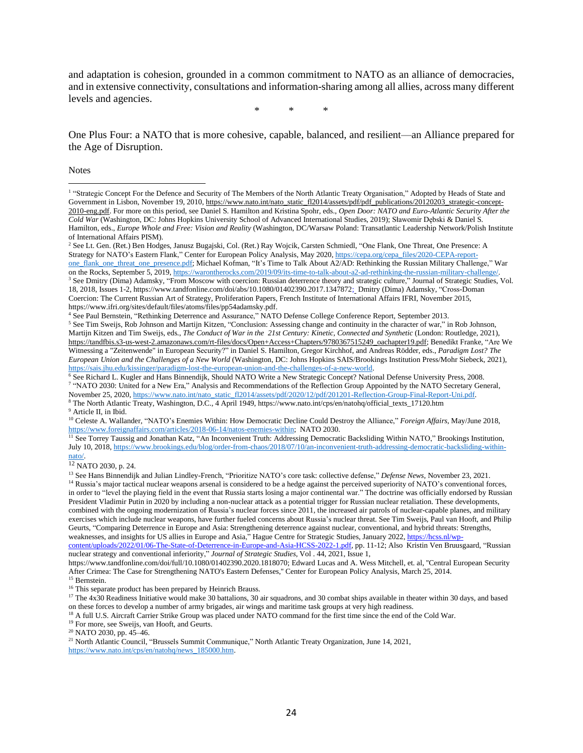and adaptation is cohesion, grounded in a common commitment to NATO as an alliance of democracies, and in extensive connectivity, consultations and information-sharing among all allies, across many different levels and agencies.

\* \* \*

One Plus Four: a NATO that is more cohesive, capable, balanced, and resilient—an Alliance prepared for the Age of Disruption.

**Notes** 

<sup>9</sup> Article II, in Ibid.

<sup>11</sup> See Torrey Taussig and Jonathan Katz, "An Inconvenient Truth: Addressing Democratic Backsliding Within NATO," Brookings Institution, July 10, 2018, [https://www.brookings.edu/blog/order-from-chaos/2018/07/10/an-inconvenient-truth-addressing-democratic-backsliding-within](https://www.brookings.edu/blog/order-from-chaos/2018/07/10/an-inconvenient-truth-addressing-democratic-backsliding-within-nato/)[nato/.](https://www.brookings.edu/blog/order-from-chaos/2018/07/10/an-inconvenient-truth-addressing-democratic-backsliding-within-nato/)

<sup>12</sup> NATO 2030, p. 24.

<sup>15</sup> Bernstein.

<sup>16</sup> This separate product has been prepared by Heinrich Brauss.

<sup>18</sup> A full U.S. Aircraft Carrier Strike Group was placed under NATO command for the first time since the end of the Cold War.

<sup>19</sup> For more, see Sweijs, van Hooft, and Geurts.

<sup>21</sup> North Atlantic Council, "Brussels Summit Communique," North Atlantic Treaty Organization, June 14, 2021, [https://www.nato.int/cps/en/natohq/news\\_185000.htm.](https://www.nato.int/cps/en/natohq/news_185000.htm)

<sup>&</sup>lt;sup>1</sup> "Strategic Concept For the Defence and Security of The Members of the North Atlantic Treaty Organisation," Adopted by Heads of State and Government in Lisbon, November 19, 2010, [https://www.nato.int/nato\\_static\\_fl2014/assets/pdf/pdf\\_publications/20120203\\_strategic-concept-](https://www.nato.int/nato_static_fl2014/assets/pdf/pdf_publications/20120203_strategic-concept-2010-eng.pdf)[2010-eng.pdf.](https://www.nato.int/nato_static_fl2014/assets/pdf/pdf_publications/20120203_strategic-concept-2010-eng.pdf) For more on this period, see Daniel S. Hamilton and Kristina Spohr, eds., *Open Door: NATO and Euro-Atlantic Security After the Cold War* (Washington, DC: Johns Hopkins University School of Advanced International Studies, 2019); Sławomir Dębski & Daniel S. Hamilton, eds., *Europe Whole and Free: Vision and Reality* (Washington, DC/Warsaw Poland: Transatlantic Leadership Network/Polish Institute of International Affairs PISM).

<sup>2</sup> See Lt. Gen. (Ret.) Ben Hodges, Janusz Bugajski, Col. (Ret.) Ray Wojcik, Carsten Schmiedl, "One Flank, One Threat, One Presence: A Strategy for NATO's Eastern Flank," Center for European Policy Analysis, May 2020, [https://cepa.org/cepa\\_files/2020-CEPA-report](https://cepa.org/cepa_files/2020-CEPA-report-one_flank_one_threat_one_presence.pdf)[one\\_flank\\_one\\_threat\\_one\\_presence.pdf;](https://cepa.org/cepa_files/2020-CEPA-report-one_flank_one_threat_one_presence.pdf) Michael Kofman, "It's Time to Talk About A2/AD: Rethinking the Russian Military Challenge," War on the Rocks, September 5, 2019, [https://warontherocks.com/2019/09/its-time-to-talk-about-a2-ad-rethinking-the-russian-military-challenge/.](https://warontherocks.com/2019/09/its-time-to-talk-about-a2-ad-rethinking-the-russian-military-challenge/)

<sup>3</sup> See Dmitry (Dima) Adamsky, "From Moscow with coercion: Russian deterrence theory and strategic culture," Journal of Strategic Studies, Vol. 18, 2018, Issues 1-2, [https://www.tandfonline.com/doi/abs/10.1080/01402390.2017.1347872;](https://www.tandfonline.com/doi/abs/10.1080/01402390.2017.1347872) Dmitry (Dima) Adamsky, "Cross-Doman Coercion: The Current Russian Art of Strategy, Proliferation Papers, French Institute of International Affairs IFRI, November 2015, [https://www.ifri.org/sites/default/files/atoms/files/pp54adamsky.pdf.](https://www.ifri.org/sites/default/files/atoms/files/pp54adamsky.pdf)

<sup>4</sup> See Paul Bernstein, "Rethinking Deterrence and Assurance," NATO Defense College Conference Report, September 2013.

<sup>&</sup>lt;sup>5</sup> See Tim Sweijs, Rob Johnson and Martijn Kitzen, "Conclusion: Assessing change and continuity in the character of war," in Rob Johnson, Martijn Kitzen and Tim Sweijs, eds., *The Conduct of War in the 21st Century: Kinetic, Connected and Synthetic* (London: Routledge, 2021), [https://tandfbis.s3-us-west-2.amazonaws.com/rt-files/docs/Open+Access+Chapters/9780367515249\\_oachapter19.pdf;](https://tandfbis.s3-us-west-2.amazonaws.com/rt-files/docs/Open+Access+Chapters/9780367515249_oachapter19.pdf) Benedikt Franke, "Are We Witnessing a "Zeitenwende" in European Security?" in Daniel S. Hamilton, Gregor Kirchhof, and Andreas Rödder, eds., *Paradigm Lost? The European Union and the Challenges of a New World* (Washington, DC: Johns Hopkins SAIS/Brookings Institution Press/Mohr Siebeck, 2021), [https://sais.jhu.edu/kissinger/paradigm-lost-the-european-union-and-the-challenges-of-a-new-world.](https://sais.jhu.edu/kissinger/paradigm-lost-the-european-union-and-the-challenges-of-a-new-world)

<sup>6</sup> See Richard L. Kugler and Hans Binnendijk, Should NATO Write a New Strategic Concept? National Defense University Press, 2008. 7 "NATO 2030: United for a New Era," Analysis and Recommendations of the Reflection Group Appointed by the NATO Secretary General, November 25, 2020, [https://www.nato.int/nato\\_static\\_fl2014/assets/pdf/2020/12/pdf/201201-Reflection-Group-Final-Report-Uni.pdf.](https://www.nato.int/nato_static_fl2014/assets/pdf/2020/12/pdf/201201-Reflection-Group-Final-Report-Uni.pdf) <sup>8</sup> The North Atlantic Treaty, Washington, D.C., 4 April 1949, https://www.nato.int/cps/en/natohq/official\_texts\_17120.htm

<sup>10</sup> Celeste A. Wallander, "NATO's Enemies Within: How Democratic Decline Could Destroy the Alliance," *Foreign Affairs*, May/June 2018, [https://www.foreignaffairs.com/articles/2018-06-14/natos-enemies-within;](https://www.foreignaffairs.com/articles/2018-06-14/natos-enemies-within) NATO 2030.

<sup>13</sup> See Hans Binnendijk and Julian Lindley-French, "Prioritize NATO's core task: collective defense," *Defense News*, November 23, 2021. <sup>14</sup> Russia's major tactical nuclear weapons arsenal is considered to be a hedge against the perceived superiority of NATO's conventional forces, in order to "level the playing field in the event that Russia starts losing a major continental war." The doctrine was officially endorsed by Russian President Vladimir Putin in 2020 by including a non-nuclear attack as a potential trigger for Russian nuclear retaliation. These developments, combined with the ongoing modernization of Russia's nuclear forces since 2011, the increased air patrols of nuclear-capable planes, and military exercises which include nuclear weapons, have further fueled concerns about Russia's nuclear threat. See Tim Sweijs, Paul van Hooft, and Philip Geurts, "Comparing Deterrence in Europe and Asia: Strengthening deterrence against nuclear, conventional, and hybrid threats: Strengths, weaknesses, and insights for US allies in Europe and Asia," Hague Centre for Strategic Studies, January 2022, [https://hcss.nl/wp-](https://hcss.nl/wp-content/uploads/2022/01/06-The-State-of-Deterrence-in-Europe-and-Asia-HCSS-2022-1.pdf)

[content/uploads/2022/01/06-The-State-of-Deterrence-in-Europe-and-Asia-HCSS-2022-1.pdf,](https://hcss.nl/wp-content/uploads/2022/01/06-The-State-of-Deterrence-in-Europe-and-Asia-HCSS-2022-1.pdf) pp. 11-12; Also Kristin Ven Bruusgaard, "Russian nuclear strategy and conventional inferiority," *Journal of Strategic Studies*, Vol . 44, 2021, Issue 1,

[https://www.tandfonline.com/doi/full/10.1080/01402390.2020.1818070;](https://www.tandfonline.com/doi/full/10.1080/01402390.2020.1818070) Edward Lucas and A. Wess Mitchell, et. al, ''Central European Security After Crimea: The Case for Strengthening NATO's Eastern Defenses,'' Center for European Policy Analysis, March 25, 2014.

<sup>&</sup>lt;sup>17</sup> The  $4x30$  Readiness Initiative would make 30 battalions, 30 air squadrons, and 30 combat ships available in theater within 30 days, and based on these forces to develop a number of army brigades, air wings and maritime task groups at very high readiness.

 $20$  NATO 2030, pp. 45–46.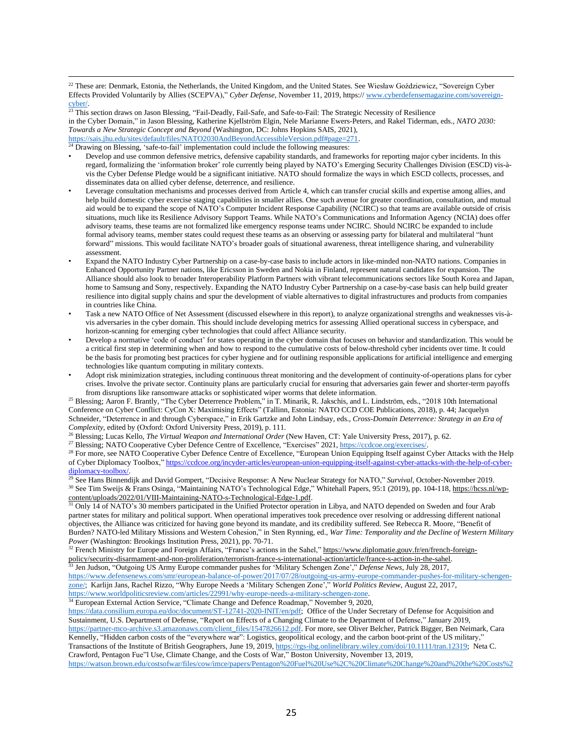<sup>22</sup> These are: Denmark, Estonia, the Netherlands, the United Kingdom, and the United States. See Wiesław Goździewicz, "Sovereign Cyber Effects Provided Voluntarily by Allies (SCEPVA)," *Cyber Defense*, November 11, 2019, https:// [www.cyberdefensemagazine.com/sovereign](http://www.cyberdefensemagazine.com/sovereign-cyber/)[cyber/.](http://www.cyberdefensemagazine.com/sovereign-cyber/)

<sup>23</sup> This section draws on Jason Blessing, "Fail-Deadly, Fail-Safe, and Safe-to-Fail: The Strategic Necessity of Resilience in the Cyber Domain," in Jason Blessing, Katherine Kjellström Elgin, Nele Marianne Ewers-Peters, and Rakel Tiderman, eds., *NATO 2030: Towards a New Strategic Concept and Beyond* (Washington, DC: Johns Hopkins SAIS, 2021), [https://sais.jhu.edu/sites/default/files/NATO2030AndBeyondAccessibleVersion.pdf#page=271.](https://sais.jhu.edu/sites/default/files/NATO2030AndBeyondAccessibleVersion.pdf%2523page=271)

 $24$  Drawing on Blessing, 'safe-to-fail' implementation could include the following measures:

- *•* Develop and use common defensive metrics, defensive capability standards, and frameworks for reporting major cyber incidents. In this regard, formalizing the 'information broker' role currently being played by NATO's Emerging Security Challenges Division (ESCD) vis-àvis the Cyber Defense Pledge would be a significant initiative. NATO should formalize the ways in which ESCD collects, processes, and disseminates data on allied cyber defense, deterrence, and resilience.
- *•* Leverage consultation mechanisms and processes derived from Article 4, which can transfer crucial skills and expertise among allies, and help build domestic cyber exercise staging capabilities in smaller allies. One such avenue for greater coordination, consultation, and mutual aid would be to expand the scope of NATO's Computer Incident Response Capability (NCIRC) so that teams are available outside of crisis situations, much like its Resilience Advisory Support Teams. While NATO's Communications and Information Agency (NCIA) does offer advisory teams, these teams are not formalized like emergency response teams under NCIRC. Should NCIRC be expanded to include formal advisory teams, member states could request these teams as an observing or assessing party for bilateral and multilateral "hunt forward" missions. This would facilitate NATO's broader goals of situational awareness, threat intelligence sharing, and vulnerability assessment.
- *•* Expand the NATO Industry Cyber Partnership on a case-by-case basis to include actors in like-minded non-NATO nations. Companies in Enhanced Opportunity Partner nations, like Ericsson in Sweden and Nokia in Finland, represent natural candidates for expansion. The Alliance should also look to broader Interoperability Platform Partners with vibrant telecommunications sectors like South Korea and Japan, home to Samsung and Sony, respectively. Expanding the NATO Industry Cyber Partnership on a case-by-case basis can help build greater resilience into digital supply chains and spur the development of viable alternatives to digital infrastructures and products from companies in countries like China.
- *•* Task a new NATO Office of Net Assessment (discussed elsewhere in this report), to analyze organizational strengths and weaknesses vis-àvis adversaries in the cyber domain. This should include developing metrics for assessing Allied operational success in cyberspace, and horizon-scanning for emerging cyber technologies that could affect Alliance security.
- *•* Develop a normative 'code of conduct' for states operating in the cyber domain that focuses on behavior and standardization. This would be a critical first step in determining when and how to respond to the cumulative costs of below-threshold cyber incidents over time. It could be the basis for promoting best practices for cyber hygiene and for outlining responsible applications for artificial intelligence and emerging technologies like quantum computing in military contexts.
- *•* Adopt risk minimization strategies, including continuous threat monitoring and the development of continuity-of-operations plans for cyber crises. Involve the private sector. Continuity plans are particularly crucial for ensuring that adversaries gain fewer and shorter-term payoffs from disruptions like ransomware attacks or sophisticated wiper worms that delete information.

<sup>25</sup> Blessing; Aaron F. Brantly, "The Cyber Deterrence Problem," in T. Minarik, R. Jakschis, and L. Lindström, eds., "2018 10th International Conference on Cyber Conflict: CyCon X: Maximising Effects" (Tallinn, Estonia: NATO CCD COE Publications, 2018), p. 44; Jacquelyn Schneider, "Deterrence in and through Cyberspace," in Erik Gartzke and John Lindsay, eds., *Cross-Domain Deterrence: Strategy in an Era of Complexity*, edited by (Oxford: Oxford University Press, 2019), p. 111.

<sup>26</sup> Blessing; Lucas Kello, *The Virtual Weapon and International Order* (New Haven, CT: Yale University Press, 2017), p. 62.

<sup>27</sup> Blessing; NATO Cooperative Cyber Defence Centre of Excellence, "Exercises" 2021, https://ccdcoe.org/exercises/

<sup>28</sup> For more, see NATO Cooperative Cyber Defence Centre of Excellence, "European Union Equipping Itself against Cyber Attacks with the Help of Cyber Diplomacy Toolbox," [https://ccdcoe.org/incyder-articles/european-union-equipping-itself-against-cyber-attacks-with-the-help-of-cyber](https://ccdcoe.org/incyder-articles/european-union-equipping-itself-against-cyber-attacks-with-the-help-of-cyber-diplomacy-toolbox/)diplomacy-toolbox.

<sup>29</sup> See Hans Binnendijk and David Gompert, "Decisive Response: A New Nuclear Strategy for NATO," *Survival*, October-November 2019. <sup>30</sup> See Tim Sweijs & Frans Osinga, "Maintaining NATO's Technological Edge," Whitehall Papers, 95:1 (2019), pp. 104-118, [https://hcss.nl/wp](https://hcss.nl/wp-content/uploads/2022/01/VIII-Maintaining-NATO-s-Technological-Edge-1.pdf)[content/uploads/2022/01/VIII-Maintaining-NATO-s-Technological-Edge-1.pdf.](https://hcss.nl/wp-content/uploads/2022/01/VIII-Maintaining-NATO-s-Technological-Edge-1.pdf)

<sup>31</sup> Only 14 of NATO's 30 members participated in the Unified Protector operation in Libya, and NATO depended on Sweden and four Arab partner states for military and political support. When operational imperatives took precedence over resolving or addressing different national objectives, the Alliance was criticized for having gone beyond its mandate, and its credibility suffered. See Rebecca R. Moore, "Benefit of Burden? NATO-led Military Missions and Western Cohesion," in Sten Rynning, ed., *War Time: Temporality and the Decline of Western Military Power* (Washington: Brookings Institution Press, 2021), pp. 70-71.

<sup>32</sup> French Ministry for Europe and Foreign Affairs, "France's actions in the Sahel," [https://www.diplomatie.gouv.fr/en/french-foreign](https://www.diplomatie.gouv.fr/en/french-foreign-policy/security-disarmament-and-non-proliferation/terrorism-france-s-international-action/article/france-s-action-in-the-sahel)[policy/security-disarmament-and-non-proliferation/terrorism-france-s-international-action/article/france-s-action-in-the-sahel.](https://www.diplomatie.gouv.fr/en/french-foreign-policy/security-disarmament-and-non-proliferation/terrorism-france-s-international-action/article/france-s-action-in-the-sahel)

<sup>33</sup> Jen Judson, "Outgoing US Army Europe commander pushes for 'Military Schengen Zone'," *Defense News*, July 28, 2017,

[https://www.defensenews.com/smr/european-balance-of-power/2017/07/28/outgoing-us-army-europe-commander-pushes-for-military-schengen](https://www.defensenews.com/smr/european-balance-of-power/2017/07/28/outgoing-us-army-europe-commander-pushes-for-military-schengen-zone/)[zone/;](https://www.defensenews.com/smr/european-balance-of-power/2017/07/28/outgoing-us-army-europe-commander-pushes-for-military-schengen-zone/) Karlijn Jans, Rachel Rizzo, "Why Europe Needs a 'Military Schengen Zone'," *World Politics Review*, August 22, 2017, [https://www.worldpoliticsreview.com/articles/22991/why-europe-needs-a-military-schengen-zone.](https://www.worldpoliticsreview.com/articles/22991/why-europe-needs-a-military-schengen-zone)

<sup>34</sup> European External Action Service, "Climate Change and Defence Roadmap," November 9, 2020,

[https://data.consilium.europa.eu/doc/document/ST-12741-2020-INIT/en/pdf;](https://data.consilium.europa.eu/doc/document/ST-12741-2020-INIT/en/pdf) Office of the Under Secretary of Defense for Acquisition and Sustainment, U.S. Department of Defense, "Report on Effects of a Changing Climate to the Department of Defense," January 2019, [https://partner-mco-archive.s3.amazonaws.com/client\\_files/1547826612.pdf.](https://partner-mco-archive.s3.amazonaws.com/client_files/1547826612.pdf) For more, see Oliver Belcher, Patrick Bigger, Ben Neimark, Cara Kennelly, "Hidden carbon costs of the "everywhere war": Logistics, geopolitical ecology, and the carbon boot-print of the US military," Transactions of the Institute of British Geographers, June 19, 2019, [https://rgs-ibg.onlinelibrary.wiley.com/doi/10.1111/tran.12319;](https://rgs-ibg.onlinelibrary.wiley.com/doi/10.1111/tran.12319) Neta C. Crawford, Pentagon Fue"l Use, Climate Change, and the Costs of War," Boston University, November 13, 2019, [https://watson.brown.edu/costsofwar/files/cow/imce/papers/Pentagon%20Fuel%20Use%2C%20Climate%20Change%20and%20the%20Costs%2](https://watson.brown.edu/costsofwar/files/cow/imce/papers/Pentagon%252520Fuel%252520Use%25252C%252520Climate%252520Change%252520and%252520the%252520Costs%252520of%252520War%252520Revised%252520November%2525202019%252520Crawford.pdf)